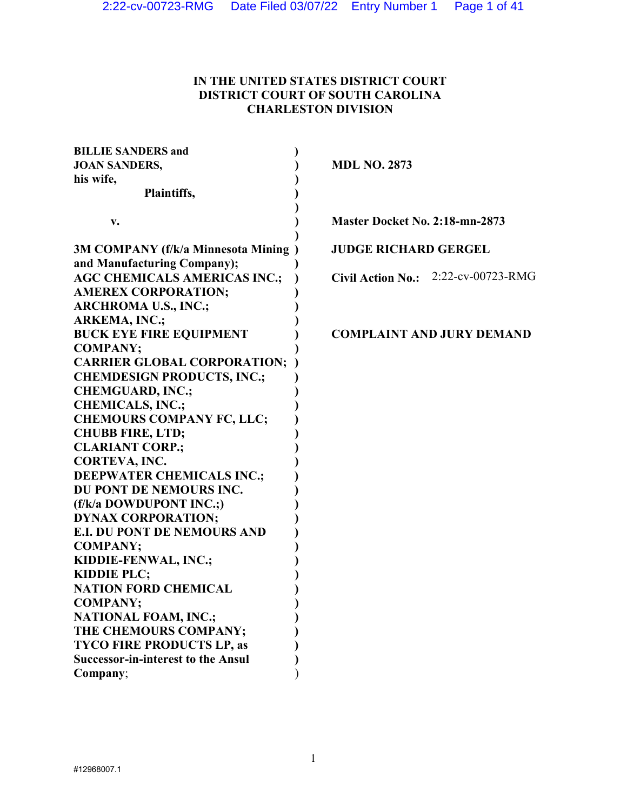# IN THE UNITED STATES DISTRICT COURT DISTRICT COURT OF SOUTH CAROLINA CHARLESTON DIVISION

| <b>BILLIE SANDERS and</b>                 |                                               |
|-------------------------------------------|-----------------------------------------------|
| <b>JOAN SANDERS,</b>                      | <b>MDL NO. 2873</b>                           |
| his wife,                                 |                                               |
| Plaintiffs,                               |                                               |
| v.                                        | Master Docket No. 2:18-mn-2873                |
|                                           |                                               |
| 3M COMPANY (f/k/a Minnesota Mining)       | <b>JUDGE RICHARD GERGEL</b>                   |
| and Manufacturing Company);               |                                               |
| <b>AGC CHEMICALS AMERICAS INC.;</b>       | 2:22-cv-00723-RMG<br><b>Civil Action No.:</b> |
| <b>AMEREX CORPORATION;</b>                |                                               |
| <b>ARCHROMA U.S., INC.;</b>               |                                               |
| <b>ARKEMA, INC.;</b>                      |                                               |
| <b>BUCK EYE FIRE EQUIPMENT</b>            | <b>COMPLAINT AND JURY DEMAND</b>              |
| <b>COMPANY;</b>                           |                                               |
| <b>CARRIER GLOBAL CORPORATION;</b>        |                                               |
| <b>CHEMDESIGN PRODUCTS, INC.;</b>         |                                               |
| <b>CHEMGUARD, INC.;</b>                   |                                               |
| <b>CHEMICALS, INC.;</b>                   |                                               |
| <b>CHEMOURS COMPANY FC, LLC;</b>          |                                               |
| <b>CHUBB FIRE, LTD;</b>                   |                                               |
| <b>CLARIANT CORP.;</b>                    |                                               |
| CORTEVA, INC.                             |                                               |
| <b>DEEPWATER CHEMICALS INC.;</b>          |                                               |
| DU PONT DE NEMOURS INC.                   |                                               |
| (f/k/a DOWDUPONT INC.;)                   |                                               |
| <b>DYNAX CORPORATION;</b>                 |                                               |
| <b>E.I. DU PONT DE NEMOURS AND</b>        |                                               |
| <b>COMPANY;</b>                           |                                               |
| KIDDIE-FENWAL, INC.;                      |                                               |
| <b>KIDDIE PLC;</b>                        |                                               |
| <b>NATION FORD CHEMICAL</b>               |                                               |
| <b>COMPANY;</b>                           |                                               |
| <b>NATIONAL FOAM, INC.;</b>               |                                               |
| THE CHEMOURS COMPANY;                     |                                               |
| <b>TYCO FIRE PRODUCTS LP, as</b>          |                                               |
| <b>Successor-in-interest to the Ansul</b> |                                               |
| Company;                                  |                                               |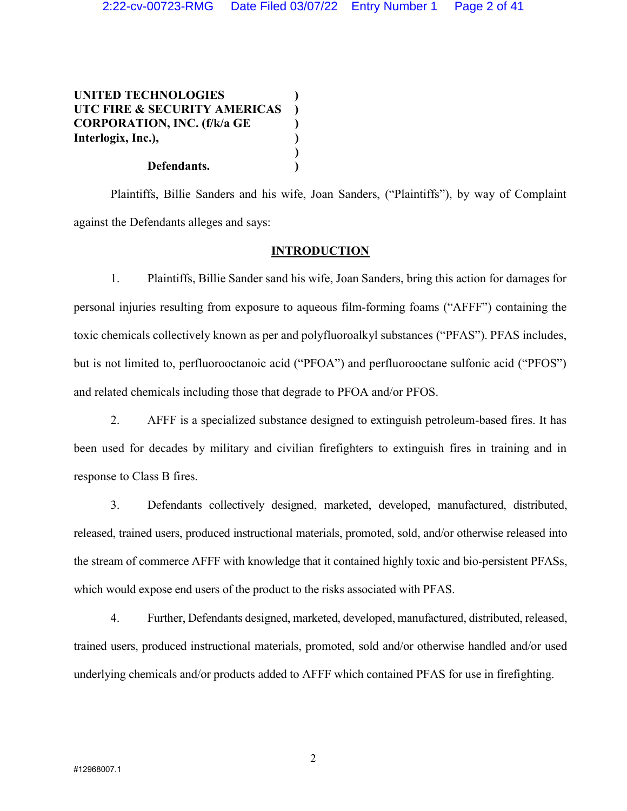UNITED TECHNOLOGIES ) UTC FIRE & SECURITY AMERICAS CORPORATION, INC. (f/k/a GE ) Interlogix, Inc.),  $\overline{\phantom{a}}$ 

## Defendants.

 Plaintiffs, Billie Sanders and his wife, Joan Sanders, ("Plaintiffs"), by way of Complaint against the Defendants alleges and says:

## **INTRODUCTION**

1. Plaintiffs, Billie Sander sand his wife, Joan Sanders, bring this action for damages for personal injuries resulting from exposure to aqueous film-forming foams ("AFFF") containing the toxic chemicals collectively known as per and polyfluoroalkyl substances ("PFAS"). PFAS includes, but is not limited to, perfluorooctanoic acid ("PFOA") and perfluorooctane sulfonic acid ("PFOS") and related chemicals including those that degrade to PFOA and/or PFOS.

2. AFFF is a specialized substance designed to extinguish petroleum-based fires. It has been used for decades by military and civilian firefighters to extinguish fires in training and in response to Class B fires.

3. Defendants collectively designed, marketed, developed, manufactured, distributed, released, trained users, produced instructional materials, promoted, sold, and/or otherwise released into the stream of commerce AFFF with knowledge that it contained highly toxic and bio-persistent PFASs, which would expose end users of the product to the risks associated with PFAS.

4. Further, Defendants designed, marketed, developed, manufactured, distributed, released, trained users, produced instructional materials, promoted, sold and/or otherwise handled and/or used underlying chemicals and/or products added to AFFF which contained PFAS for use in firefighting.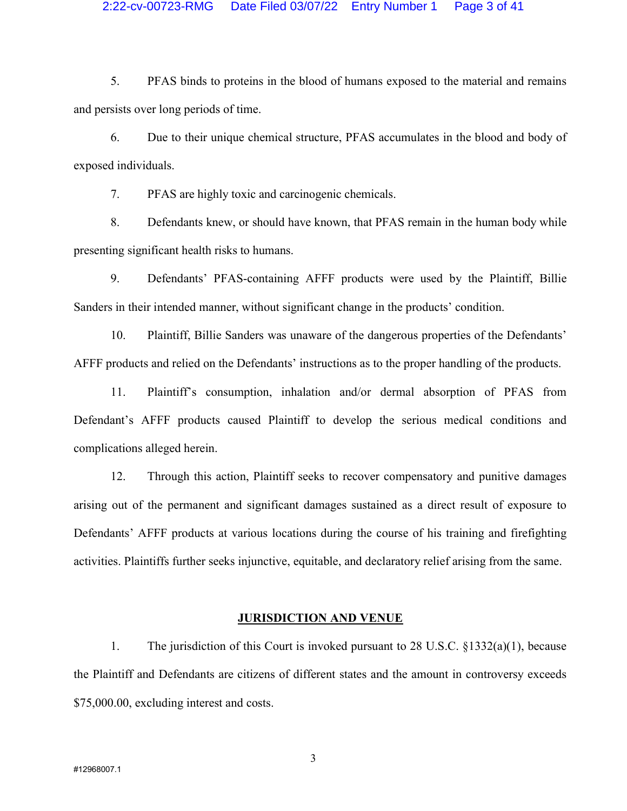5. PFAS binds to proteins in the blood of humans exposed to the material and remains and persists over long periods of time.

6. Due to their unique chemical structure, PFAS accumulates in the blood and body of exposed individuals.

7. PFAS are highly toxic and carcinogenic chemicals.

8. Defendants knew, or should have known, that PFAS remain in the human body while presenting significant health risks to humans.

9. Defendants' PFAS-containing AFFF products were used by the Plaintiff, Billie Sanders in their intended manner, without significant change in the products' condition.

10. Plaintiff, Billie Sanders was unaware of the dangerous properties of the Defendants' AFFF products and relied on the Defendants' instructions as to the proper handling of the products.

11. Plaintiff's consumption, inhalation and/or dermal absorption of PFAS from Defendant's AFFF products caused Plaintiff to develop the serious medical conditions and complications alleged herein.

12. Through this action, Plaintiff seeks to recover compensatory and punitive damages arising out of the permanent and significant damages sustained as a direct result of exposure to Defendants' AFFF products at various locations during the course of his training and firefighting activities. Plaintiffs further seeks injunctive, equitable, and declaratory relief arising from the same.

#### JURISDICTION AND VENUE

1. The jurisdiction of this Court is invoked pursuant to 28 U.S.C. §1332(a)(1), because the Plaintiff and Defendants are citizens of different states and the amount in controversy exceeds \$75,000.00, excluding interest and costs.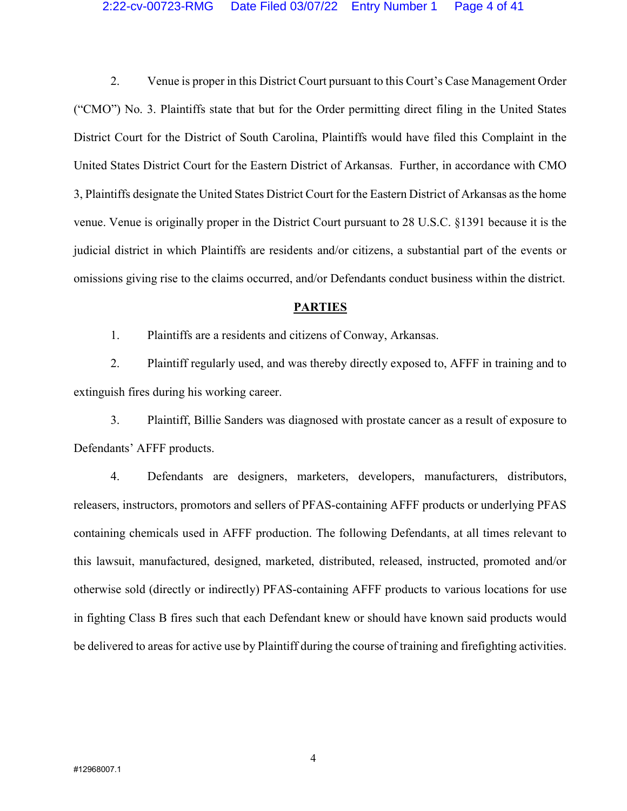### 2:22-cv-00723-RMG Date Filed 03/07/22 Entry Number 1 Page 4 of 41

2. Venue is proper in this District Court pursuant to this Court's Case Management Order ("CMO") No. 3. Plaintiffs state that but for the Order permitting direct filing in the United States District Court for the District of South Carolina, Plaintiffs would have filed this Complaint in the United States District Court for the Eastern District of Arkansas. Further, in accordance with CMO 3, Plaintiffs designate the United States District Court for the Eastern District of Arkansas as the home venue. Venue is originally proper in the District Court pursuant to 28 U.S.C. §1391 because it is the judicial district in which Plaintiffs are residents and/or citizens, a substantial part of the events or omissions giving rise to the claims occurred, and/or Defendants conduct business within the district.

### **PARTIES**

1. Plaintiffs are a residents and citizens of Conway, Arkansas.

2. Plaintiff regularly used, and was thereby directly exposed to, AFFF in training and to extinguish fires during his working career.

3. Plaintiff, Billie Sanders was diagnosed with prostate cancer as a result of exposure to Defendants' AFFF products.

4. Defendants are designers, marketers, developers, manufacturers, distributors, releasers, instructors, promotors and sellers of PFAS-containing AFFF products or underlying PFAS containing chemicals used in AFFF production. The following Defendants, at all times relevant to this lawsuit, manufactured, designed, marketed, distributed, released, instructed, promoted and/or otherwise sold (directly or indirectly) PFAS-containing AFFF products to various locations for use in fighting Class B fires such that each Defendant knew or should have known said products would be delivered to areas for active use by Plaintiff during the course of training and firefighting activities.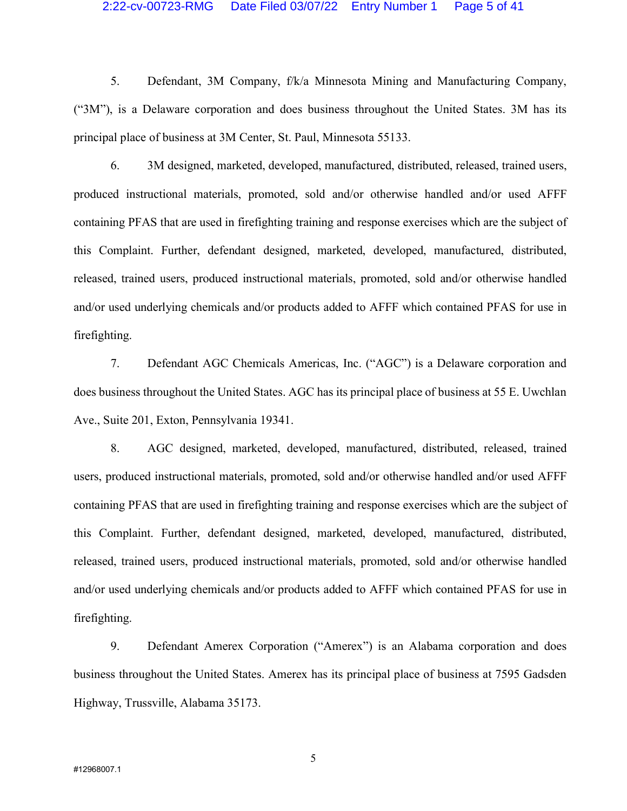### 2:22-cv-00723-RMG Date Filed 03/07/22 Entry Number 1 Page 5 of 41

5. Defendant, 3M Company, f/k/a Minnesota Mining and Manufacturing Company, ("3M"), is a Delaware corporation and does business throughout the United States. 3M has its principal place of business at 3M Center, St. Paul, Minnesota 55133.

6. 3M designed, marketed, developed, manufactured, distributed, released, trained users, produced instructional materials, promoted, sold and/or otherwise handled and/or used AFFF containing PFAS that are used in firefighting training and response exercises which are the subject of this Complaint. Further, defendant designed, marketed, developed, manufactured, distributed, released, trained users, produced instructional materials, promoted, sold and/or otherwise handled and/or used underlying chemicals and/or products added to AFFF which contained PFAS for use in firefighting.

7. Defendant AGC Chemicals Americas, Inc. ("AGC") is a Delaware corporation and does business throughout the United States. AGC has its principal place of business at 55 E. Uwchlan Ave., Suite 201, Exton, Pennsylvania 19341.

8. AGC designed, marketed, developed, manufactured, distributed, released, trained users, produced instructional materials, promoted, sold and/or otherwise handled and/or used AFFF containing PFAS that are used in firefighting training and response exercises which are the subject of this Complaint. Further, defendant designed, marketed, developed, manufactured, distributed, released, trained users, produced instructional materials, promoted, sold and/or otherwise handled and/or used underlying chemicals and/or products added to AFFF which contained PFAS for use in firefighting.

9. Defendant Amerex Corporation ("Amerex") is an Alabama corporation and does business throughout the United States. Amerex has its principal place of business at 7595 Gadsden Highway, Trussville, Alabama 35173.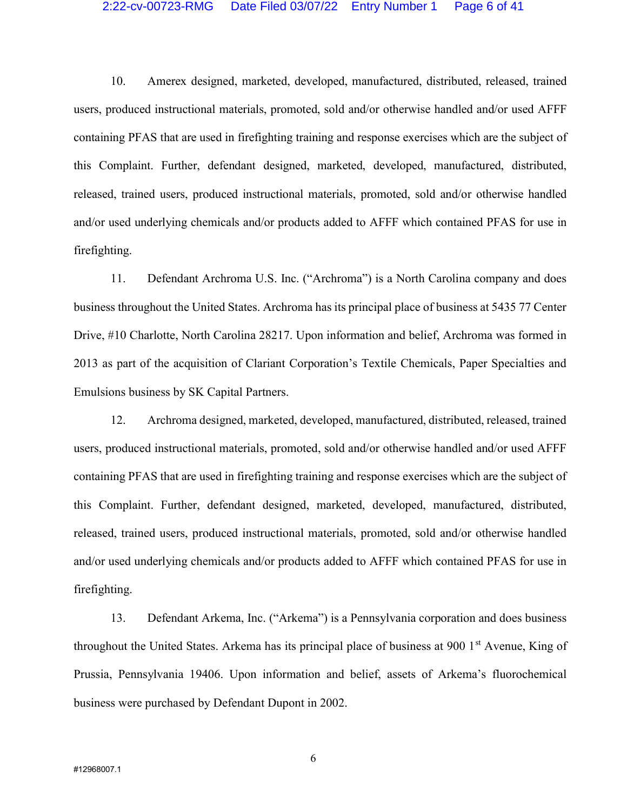#### 2:22-cv-00723-RMG Date Filed 03/07/22 Entry Number 1 Page 6 of 41

10. Amerex designed, marketed, developed, manufactured, distributed, released, trained users, produced instructional materials, promoted, sold and/or otherwise handled and/or used AFFF containing PFAS that are used in firefighting training and response exercises which are the subject of this Complaint. Further, defendant designed, marketed, developed, manufactured, distributed, released, trained users, produced instructional materials, promoted, sold and/or otherwise handled and/or used underlying chemicals and/or products added to AFFF which contained PFAS for use in firefighting.

11. Defendant Archroma U.S. Inc. ("Archroma") is a North Carolina company and does business throughout the United States. Archroma has its principal place of business at 5435 77 Center Drive, #10 Charlotte, North Carolina 28217. Upon information and belief, Archroma was formed in 2013 as part of the acquisition of Clariant Corporation's Textile Chemicals, Paper Specialties and Emulsions business by SK Capital Partners.

12. Archroma designed, marketed, developed, manufactured, distributed, released, trained users, produced instructional materials, promoted, sold and/or otherwise handled and/or used AFFF containing PFAS that are used in firefighting training and response exercises which are the subject of this Complaint. Further, defendant designed, marketed, developed, manufactured, distributed, released, trained users, produced instructional materials, promoted, sold and/or otherwise handled and/or used underlying chemicals and/or products added to AFFF which contained PFAS for use in firefighting.

13. Defendant Arkema, Inc. ("Arkema") is a Pennsylvania corporation and does business throughout the United States. Arkema has its principal place of business at 900 1<sup>st</sup> Avenue, King of Prussia, Pennsylvania 19406. Upon information and belief, assets of Arkema's fluorochemical business were purchased by Defendant Dupont in 2002.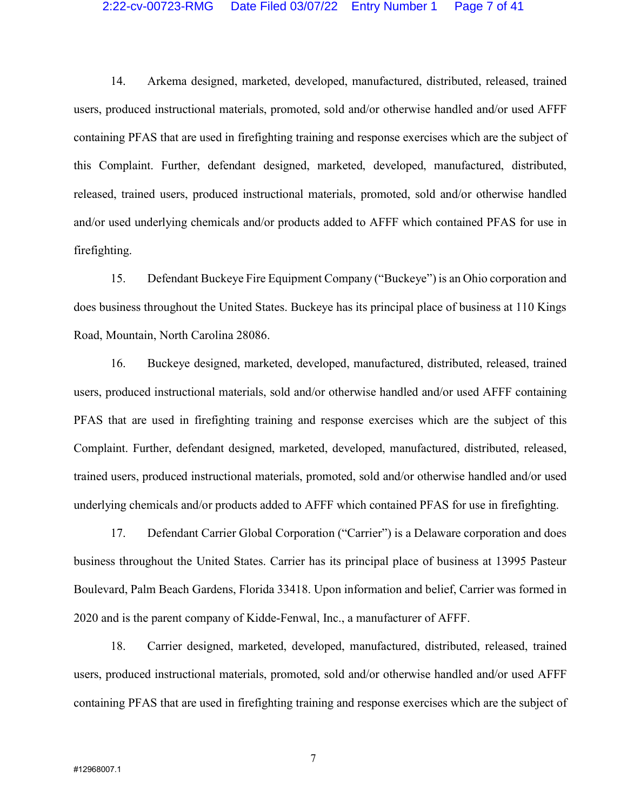#### 2:22-cv-00723-RMG Date Filed 03/07/22 Entry Number 1 Page 7 of 41

14. Arkema designed, marketed, developed, manufactured, distributed, released, trained users, produced instructional materials, promoted, sold and/or otherwise handled and/or used AFFF containing PFAS that are used in firefighting training and response exercises which are the subject of this Complaint. Further, defendant designed, marketed, developed, manufactured, distributed, released, trained users, produced instructional materials, promoted, sold and/or otherwise handled and/or used underlying chemicals and/or products added to AFFF which contained PFAS for use in firefighting.

15. Defendant Buckeye Fire Equipment Company ("Buckeye") is an Ohio corporation and does business throughout the United States. Buckeye has its principal place of business at 110 Kings Road, Mountain, North Carolina 28086.

16. Buckeye designed, marketed, developed, manufactured, distributed, released, trained users, produced instructional materials, sold and/or otherwise handled and/or used AFFF containing PFAS that are used in firefighting training and response exercises which are the subject of this Complaint. Further, defendant designed, marketed, developed, manufactured, distributed, released, trained users, produced instructional materials, promoted, sold and/or otherwise handled and/or used underlying chemicals and/or products added to AFFF which contained PFAS for use in firefighting.

17. Defendant Carrier Global Corporation ("Carrier") is a Delaware corporation and does business throughout the United States. Carrier has its principal place of business at 13995 Pasteur Boulevard, Palm Beach Gardens, Florida 33418. Upon information and belief, Carrier was formed in 2020 and is the parent company of Kidde-Fenwal, Inc., a manufacturer of AFFF.

18. Carrier designed, marketed, developed, manufactured, distributed, released, trained users, produced instructional materials, promoted, sold and/or otherwise handled and/or used AFFF containing PFAS that are used in firefighting training and response exercises which are the subject of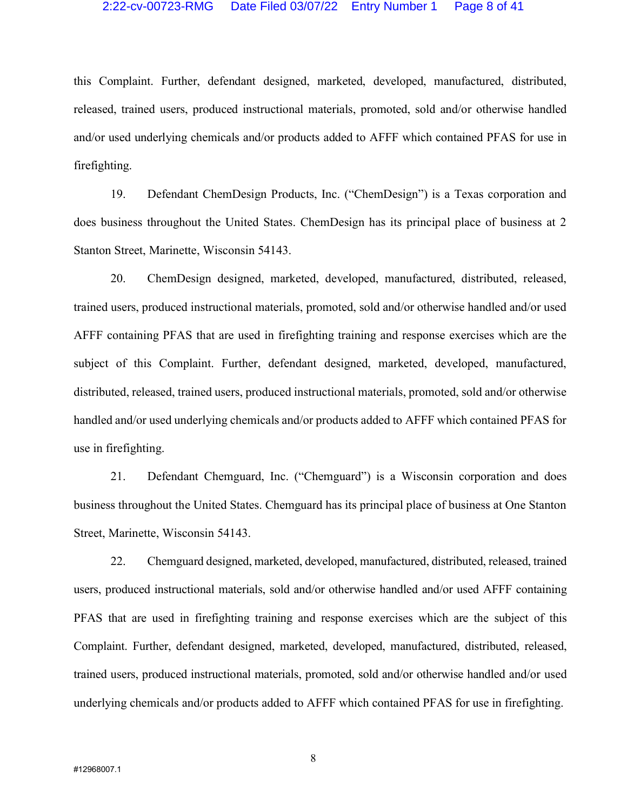#### 2:22-cv-00723-RMG Date Filed 03/07/22 Entry Number 1 Page 8 of 41

this Complaint. Further, defendant designed, marketed, developed, manufactured, distributed, released, trained users, produced instructional materials, promoted, sold and/or otherwise handled and/or used underlying chemicals and/or products added to AFFF which contained PFAS for use in firefighting.

19. Defendant ChemDesign Products, Inc. ("ChemDesign") is a Texas corporation and does business throughout the United States. ChemDesign has its principal place of business at 2 Stanton Street, Marinette, Wisconsin 54143.

20. ChemDesign designed, marketed, developed, manufactured, distributed, released, trained users, produced instructional materials, promoted, sold and/or otherwise handled and/or used AFFF containing PFAS that are used in firefighting training and response exercises which are the subject of this Complaint. Further, defendant designed, marketed, developed, manufactured, distributed, released, trained users, produced instructional materials, promoted, sold and/or otherwise handled and/or used underlying chemicals and/or products added to AFFF which contained PFAS for use in firefighting.

21. Defendant Chemguard, Inc. ("Chemguard") is a Wisconsin corporation and does business throughout the United States. Chemguard has its principal place of business at One Stanton Street, Marinette, Wisconsin 54143.

22. Chemguard designed, marketed, developed, manufactured, distributed, released, trained users, produced instructional materials, sold and/or otherwise handled and/or used AFFF containing PFAS that are used in firefighting training and response exercises which are the subject of this Complaint. Further, defendant designed, marketed, developed, manufactured, distributed, released, trained users, produced instructional materials, promoted, sold and/or otherwise handled and/or used underlying chemicals and/or products added to AFFF which contained PFAS for use in firefighting.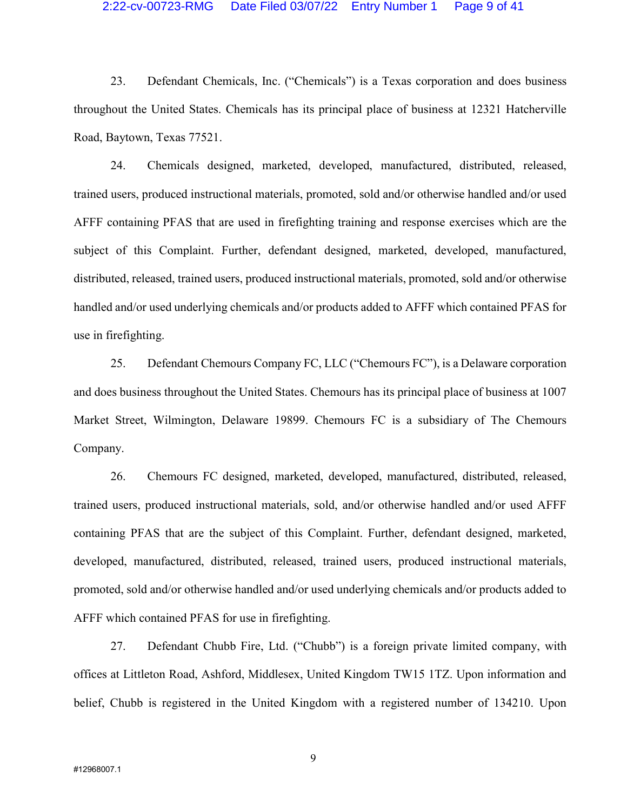#### 2:22-cv-00723-RMG Date Filed 03/07/22 Entry Number 1 Page 9 of 41

23. Defendant Chemicals, Inc. ("Chemicals") is a Texas corporation and does business throughout the United States. Chemicals has its principal place of business at 12321 Hatcherville Road, Baytown, Texas 77521.

24. Chemicals designed, marketed, developed, manufactured, distributed, released, trained users, produced instructional materials, promoted, sold and/or otherwise handled and/or used AFFF containing PFAS that are used in firefighting training and response exercises which are the subject of this Complaint. Further, defendant designed, marketed, developed, manufactured, distributed, released, trained users, produced instructional materials, promoted, sold and/or otherwise handled and/or used underlying chemicals and/or products added to AFFF which contained PFAS for use in firefighting.

25. Defendant Chemours Company FC, LLC ("Chemours FC"), is a Delaware corporation and does business throughout the United States. Chemours has its principal place of business at 1007 Market Street, Wilmington, Delaware 19899. Chemours FC is a subsidiary of The Chemours Company.

26. Chemours FC designed, marketed, developed, manufactured, distributed, released, trained users, produced instructional materials, sold, and/or otherwise handled and/or used AFFF containing PFAS that are the subject of this Complaint. Further, defendant designed, marketed, developed, manufactured, distributed, released, trained users, produced instructional materials, promoted, sold and/or otherwise handled and/or used underlying chemicals and/or products added to AFFF which contained PFAS for use in firefighting.

27. Defendant Chubb Fire, Ltd. ("Chubb") is a foreign private limited company, with offices at Littleton Road, Ashford, Middlesex, United Kingdom TW15 1TZ. Upon information and belief, Chubb is registered in the United Kingdom with a registered number of 134210. Upon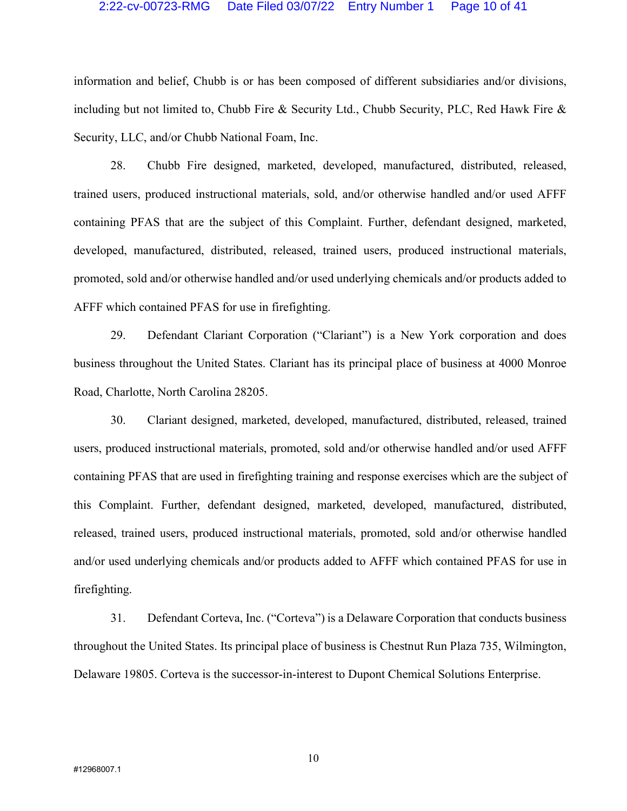#### 2:22-cv-00723-RMG Date Filed 03/07/22 Entry Number 1 Page 10 of 41

information and belief, Chubb is or has been composed of different subsidiaries and/or divisions, including but not limited to, Chubb Fire & Security Ltd., Chubb Security, PLC, Red Hawk Fire & Security, LLC, and/or Chubb National Foam, Inc.

28. Chubb Fire designed, marketed, developed, manufactured, distributed, released, trained users, produced instructional materials, sold, and/or otherwise handled and/or used AFFF containing PFAS that are the subject of this Complaint. Further, defendant designed, marketed, developed, manufactured, distributed, released, trained users, produced instructional materials, promoted, sold and/or otherwise handled and/or used underlying chemicals and/or products added to AFFF which contained PFAS for use in firefighting.

29. Defendant Clariant Corporation ("Clariant") is a New York corporation and does business throughout the United States. Clariant has its principal place of business at 4000 Monroe Road, Charlotte, North Carolina 28205.

30. Clariant designed, marketed, developed, manufactured, distributed, released, trained users, produced instructional materials, promoted, sold and/or otherwise handled and/or used AFFF containing PFAS that are used in firefighting training and response exercises which are the subject of this Complaint. Further, defendant designed, marketed, developed, manufactured, distributed, released, trained users, produced instructional materials, promoted, sold and/or otherwise handled and/or used underlying chemicals and/or products added to AFFF which contained PFAS for use in firefighting.

31. Defendant Corteva, Inc. ("Corteva") is a Delaware Corporation that conducts business throughout the United States. Its principal place of business is Chestnut Run Plaza 735, Wilmington, Delaware 19805. Corteva is the successor-in-interest to Dupont Chemical Solutions Enterprise.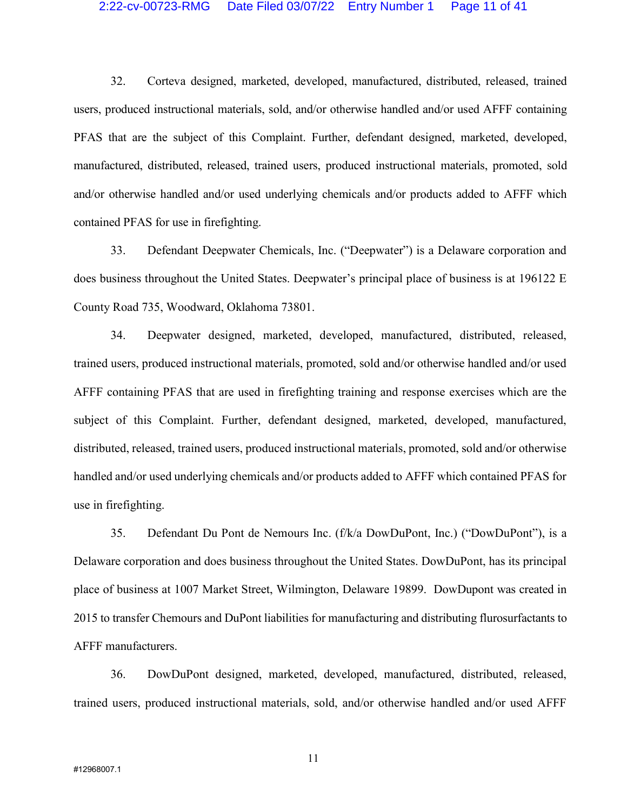#### 2:22-cv-00723-RMG Date Filed 03/07/22 Entry Number 1 Page 11 of 41

32. Corteva designed, marketed, developed, manufactured, distributed, released, trained users, produced instructional materials, sold, and/or otherwise handled and/or used AFFF containing PFAS that are the subject of this Complaint. Further, defendant designed, marketed, developed, manufactured, distributed, released, trained users, produced instructional materials, promoted, sold and/or otherwise handled and/or used underlying chemicals and/or products added to AFFF which contained PFAS for use in firefighting.

33. Defendant Deepwater Chemicals, Inc. ("Deepwater") is a Delaware corporation and does business throughout the United States. Deepwater's principal place of business is at 196122 E County Road 735, Woodward, Oklahoma 73801.

34. Deepwater designed, marketed, developed, manufactured, distributed, released, trained users, produced instructional materials, promoted, sold and/or otherwise handled and/or used AFFF containing PFAS that are used in firefighting training and response exercises which are the subject of this Complaint. Further, defendant designed, marketed, developed, manufactured, distributed, released, trained users, produced instructional materials, promoted, sold and/or otherwise handled and/or used underlying chemicals and/or products added to AFFF which contained PFAS for use in firefighting.

35. Defendant Du Pont de Nemours Inc. (f/k/a DowDuPont, Inc.) ("DowDuPont"), is a Delaware corporation and does business throughout the United States. DowDuPont, has its principal place of business at 1007 Market Street, Wilmington, Delaware 19899. DowDupont was created in 2015 to transfer Chemours and DuPont liabilities for manufacturing and distributing flurosurfactants to AFFF manufacturers.

36. DowDuPont designed, marketed, developed, manufactured, distributed, released, trained users, produced instructional materials, sold, and/or otherwise handled and/or used AFFF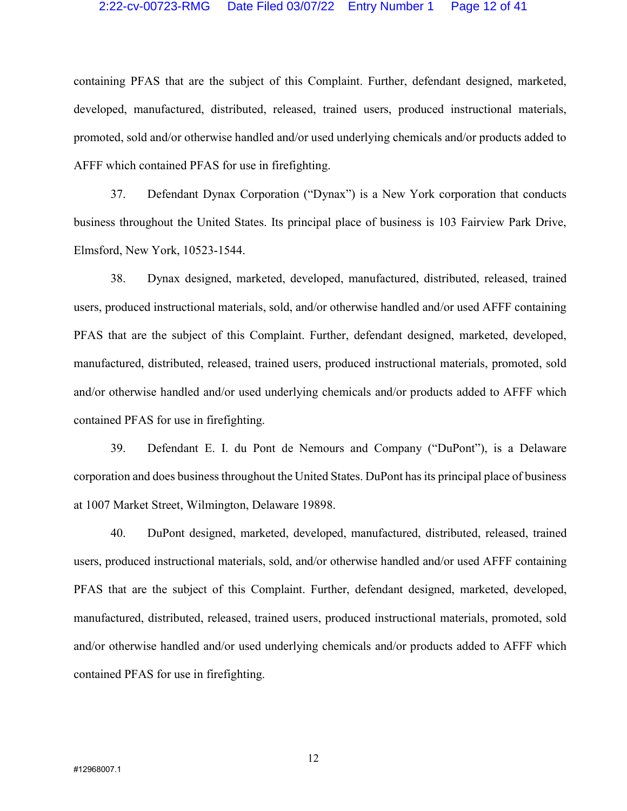#### 2:22-cv-00723-RMG Date Filed 03/07/22 Entry Number 1 Page 12 of 41

containing PFAS that are the subject of this Complaint. Further, defendant designed, marketed, developed, manufactured, distributed, released, trained users, produced instructional materials, promoted, sold and/or otherwise handled and/or used underlying chemicals and/or products added to AFFF which contained PFAS for use in firefighting.

37. Defendant Dynax Corporation ("Dynax") is a New York corporation that conducts business throughout the United States. Its principal place of business is 103 Fairview Park Drive, Elmsford, New York, 10523-1544.

38. Dynax designed, marketed, developed, manufactured, distributed, released, trained users, produced instructional materials, sold, and/or otherwise handled and/or used AFFF containing PFAS that are the subject of this Complaint. Further, defendant designed, marketed, developed, manufactured, distributed, released, trained users, produced instructional materials, promoted, sold and/or otherwise handled and/or used underlying chemicals and/or products added to AFFF which contained PFAS for use in firefighting.

39. Defendant E. I. du Pont de Nemours and Company ("DuPont"), is a Delaware corporation and does business throughout the United States. DuPont has its principal place of business at 1007 Market Street, Wilmington, Delaware 19898.

40. DuPont designed, marketed, developed, manufactured, distributed, released, trained users, produced instructional materials, sold, and/or otherwise handled and/or used AFFF containing PFAS that are the subject of this Complaint. Further, defendant designed, marketed, developed, manufactured, distributed, released, trained users, produced instructional materials, promoted, sold and/or otherwise handled and/or used underlying chemicals and/or products added to AFFF which contained PFAS for use in firefighting.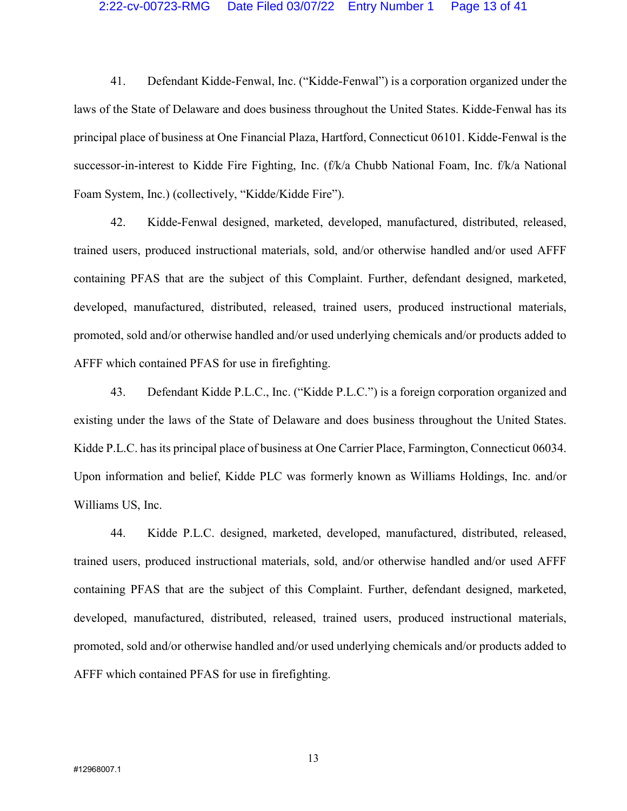#### 2:22-cv-00723-RMG Date Filed 03/07/22 Entry Number 1 Page 13 of 41

41. Defendant Kidde-Fenwal, Inc. ("Kidde-Fenwal") is a corporation organized under the laws of the State of Delaware and does business throughout the United States. Kidde-Fenwal has its principal place of business at One Financial Plaza, Hartford, Connecticut 06101. Kidde-Fenwal is the successor-in-interest to Kidde Fire Fighting, Inc. (f/k/a Chubb National Foam, Inc. f/k/a National Foam System, Inc.) (collectively, "Kidde/Kidde Fire").

42. Kidde-Fenwal designed, marketed, developed, manufactured, distributed, released, trained users, produced instructional materials, sold, and/or otherwise handled and/or used AFFF containing PFAS that are the subject of this Complaint. Further, defendant designed, marketed, developed, manufactured, distributed, released, trained users, produced instructional materials, promoted, sold and/or otherwise handled and/or used underlying chemicals and/or products added to AFFF which contained PFAS for use in firefighting.

43. Defendant Kidde P.L.C., Inc. ("Kidde P.L.C.") is a foreign corporation organized and existing under the laws of the State of Delaware and does business throughout the United States. Kidde P.L.C. has its principal place of business at One Carrier Place, Farmington, Connecticut 06034. Upon information and belief, Kidde PLC was formerly known as Williams Holdings, Inc. and/or Williams US, Inc.

44. Kidde P.L.C. designed, marketed, developed, manufactured, distributed, released, trained users, produced instructional materials, sold, and/or otherwise handled and/or used AFFF containing PFAS that are the subject of this Complaint. Further, defendant designed, marketed, developed, manufactured, distributed, released, trained users, produced instructional materials, promoted, sold and/or otherwise handled and/or used underlying chemicals and/or products added to AFFF which contained PFAS for use in firefighting.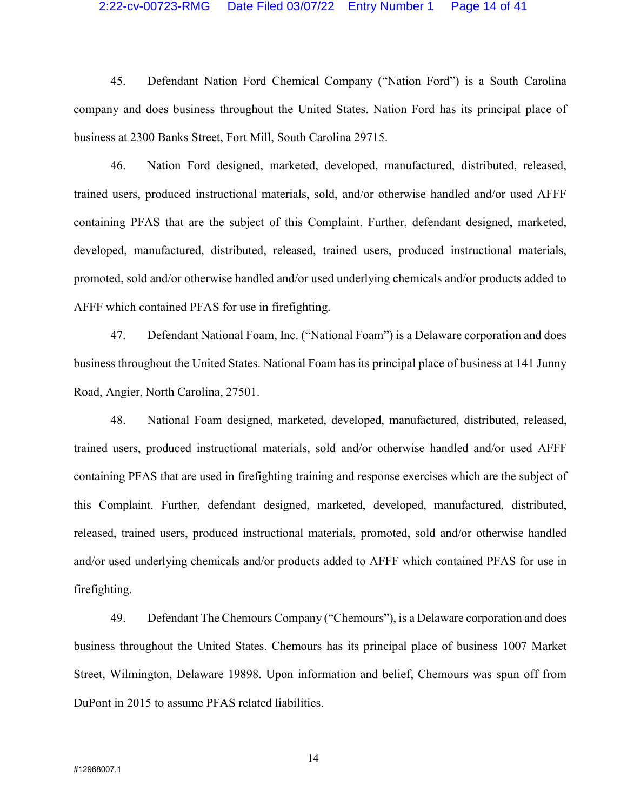#### 2:22-cv-00723-RMG Date Filed 03/07/22 Entry Number 1 Page 14 of 41

45. Defendant Nation Ford Chemical Company ("Nation Ford") is a South Carolina company and does business throughout the United States. Nation Ford has its principal place of business at 2300 Banks Street, Fort Mill, South Carolina 29715.

46. Nation Ford designed, marketed, developed, manufactured, distributed, released, trained users, produced instructional materials, sold, and/or otherwise handled and/or used AFFF containing PFAS that are the subject of this Complaint. Further, defendant designed, marketed, developed, manufactured, distributed, released, trained users, produced instructional materials, promoted, sold and/or otherwise handled and/or used underlying chemicals and/or products added to AFFF which contained PFAS for use in firefighting.

47. Defendant National Foam, Inc. ("National Foam") is a Delaware corporation and does business throughout the United States. National Foam has its principal place of business at 141 Junny Road, Angier, North Carolina, 27501.

48. National Foam designed, marketed, developed, manufactured, distributed, released, trained users, produced instructional materials, sold and/or otherwise handled and/or used AFFF containing PFAS that are used in firefighting training and response exercises which are the subject of this Complaint. Further, defendant designed, marketed, developed, manufactured, distributed, released, trained users, produced instructional materials, promoted, sold and/or otherwise handled and/or used underlying chemicals and/or products added to AFFF which contained PFAS for use in firefighting.

49. Defendant The Chemours Company ("Chemours"), is a Delaware corporation and does business throughout the United States. Chemours has its principal place of business 1007 Market Street, Wilmington, Delaware 19898. Upon information and belief, Chemours was spun off from DuPont in 2015 to assume PFAS related liabilities.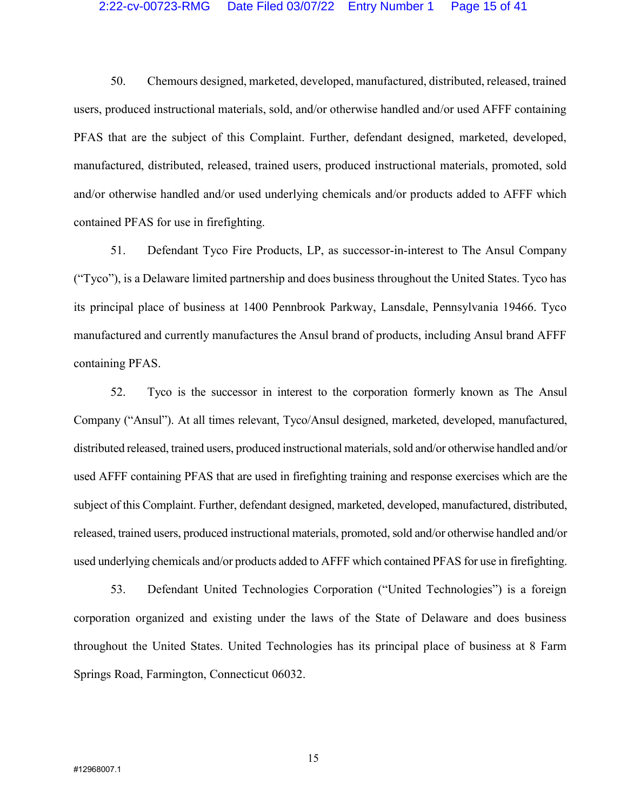#### 2:22-cv-00723-RMG Date Filed 03/07/22 Entry Number 1 Page 15 of 41

50. Chemours designed, marketed, developed, manufactured, distributed, released, trained users, produced instructional materials, sold, and/or otherwise handled and/or used AFFF containing PFAS that are the subject of this Complaint. Further, defendant designed, marketed, developed, manufactured, distributed, released, trained users, produced instructional materials, promoted, sold and/or otherwise handled and/or used underlying chemicals and/or products added to AFFF which contained PFAS for use in firefighting.

51. Defendant Tyco Fire Products, LP, as successor-in-interest to The Ansul Company ("Tyco"), is a Delaware limited partnership and does business throughout the United States. Tyco has its principal place of business at 1400 Pennbrook Parkway, Lansdale, Pennsylvania 19466. Tyco manufactured and currently manufactures the Ansul brand of products, including Ansul brand AFFF containing PFAS.

52. Tyco is the successor in interest to the corporation formerly known as The Ansul Company ("Ansul"). At all times relevant, Tyco/Ansul designed, marketed, developed, manufactured, distributed released, trained users, produced instructional materials, sold and/or otherwise handled and/or used AFFF containing PFAS that are used in firefighting training and response exercises which are the subject of this Complaint. Further, defendant designed, marketed, developed, manufactured, distributed, released, trained users, produced instructional materials, promoted, sold and/or otherwise handled and/or used underlying chemicals and/or products added to AFFF which contained PFAS for use in firefighting.

53. Defendant United Technologies Corporation ("United Technologies") is a foreign corporation organized and existing under the laws of the State of Delaware and does business throughout the United States. United Technologies has its principal place of business at 8 Farm Springs Road, Farmington, Connecticut 06032.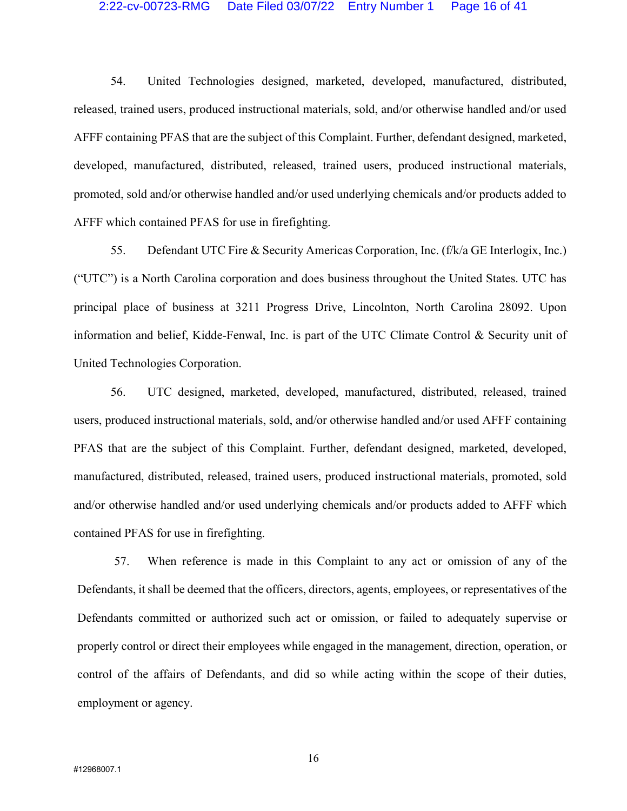#### 2:22-cv-00723-RMG Date Filed 03/07/22 Entry Number 1 Page 16 of 41

54. United Technologies designed, marketed, developed, manufactured, distributed, released, trained users, produced instructional materials, sold, and/or otherwise handled and/or used AFFF containing PFAS that are the subject of this Complaint. Further, defendant designed, marketed, developed, manufactured, distributed, released, trained users, produced instructional materials, promoted, sold and/or otherwise handled and/or used underlying chemicals and/or products added to AFFF which contained PFAS for use in firefighting.

55. Defendant UTC Fire & Security Americas Corporation, Inc. (f/k/a GE Interlogix, Inc.) ("UTC") is a North Carolina corporation and does business throughout the United States. UTC has principal place of business at 3211 Progress Drive, Lincolnton, North Carolina 28092. Upon information and belief, Kidde-Fenwal, Inc. is part of the UTC Climate Control & Security unit of United Technologies Corporation.

56. UTC designed, marketed, developed, manufactured, distributed, released, trained users, produced instructional materials, sold, and/or otherwise handled and/or used AFFF containing PFAS that are the subject of this Complaint. Further, defendant designed, marketed, developed, manufactured, distributed, released, trained users, produced instructional materials, promoted, sold and/or otherwise handled and/or used underlying chemicals and/or products added to AFFF which contained PFAS for use in firefighting.

57. When reference is made in this Complaint to any act or omission of any of the Defendants, it shall be deemed that the officers, directors, agents, employees, or representatives of the Defendants committed or authorized such act or omission, or failed to adequately supervise or properly control or direct their employees while engaged in the management, direction, operation, or control of the affairs of Defendants, and did so while acting within the scope of their duties, employment or agency.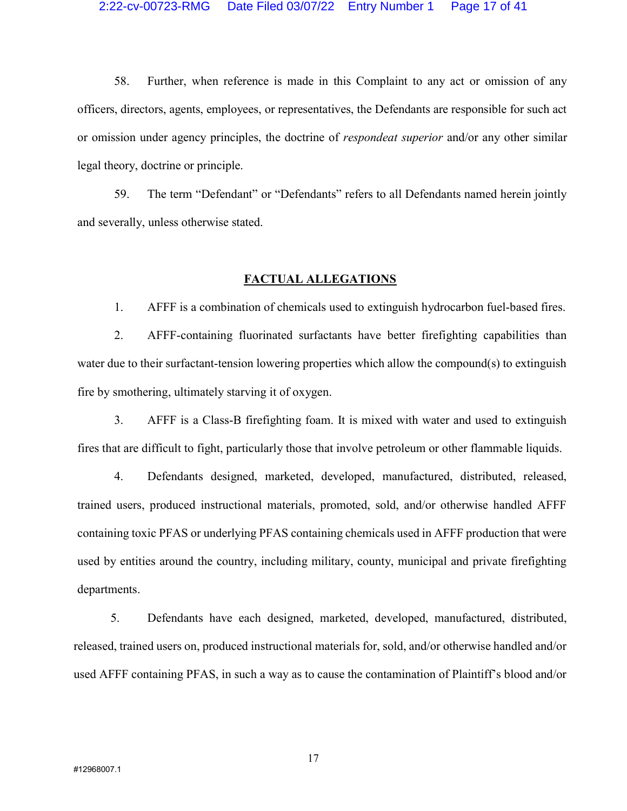#### 2:22-cv-00723-RMG Date Filed 03/07/22 Entry Number 1 Page 17 of 41

58. Further, when reference is made in this Complaint to any act or omission of any officers, directors, agents, employees, or representatives, the Defendants are responsible for such act or omission under agency principles, the doctrine of respondeat superior and/or any other similar legal theory, doctrine or principle.

59. The term "Defendant" or "Defendants" refers to all Defendants named herein jointly and severally, unless otherwise stated.

## FACTUAL ALLEGATIONS

1. AFFF is a combination of chemicals used to extinguish hydrocarbon fuel-based fires.

2. AFFF-containing fluorinated surfactants have better firefighting capabilities than water due to their surfactant-tension lowering properties which allow the compound(s) to extinguish fire by smothering, ultimately starving it of oxygen.

3. AFFF is a Class-B firefighting foam. It is mixed with water and used to extinguish fires that are difficult to fight, particularly those that involve petroleum or other flammable liquids.

4. Defendants designed, marketed, developed, manufactured, distributed, released, trained users, produced instructional materials, promoted, sold, and/or otherwise handled AFFF containing toxic PFAS or underlying PFAS containing chemicals used in AFFF production that were used by entities around the country, including military, county, municipal and private firefighting departments.

5. Defendants have each designed, marketed, developed, manufactured, distributed, released, trained users on, produced instructional materials for, sold, and/or otherwise handled and/or used AFFF containing PFAS, in such a way as to cause the contamination of Plaintiff's blood and/or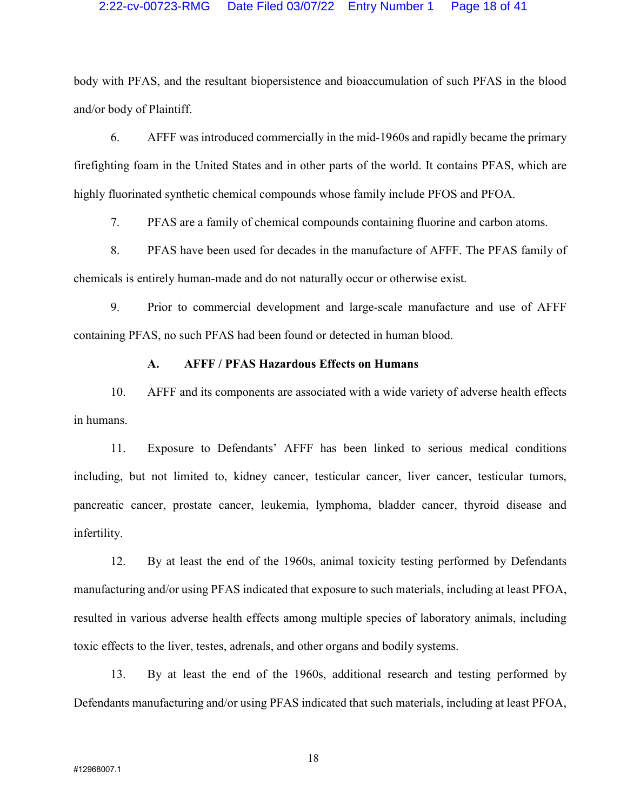## 2:22-cv-00723-RMG Date Filed 03/07/22 Entry Number 1 Page 18 of 41

body with PFAS, and the resultant biopersistence and bioaccumulation of such PFAS in the blood and/or body of Plaintiff.

6. AFFF was introduced commercially in the mid-1960s and rapidly became the primary firefighting foam in the United States and in other parts of the world. It contains PFAS, which are highly fluorinated synthetic chemical compounds whose family include PFOS and PFOA.

7. PFAS are a family of chemical compounds containing fluorine and carbon atoms.

8. PFAS have been used for decades in the manufacture of AFFF. The PFAS family of chemicals is entirely human-made and do not naturally occur or otherwise exist.

9. Prior to commercial development and large-scale manufacture and use of AFFF containing PFAS, no such PFAS had been found or detected in human blood.

## A. AFFF / PFAS Hazardous Effects on Humans

10. AFFF and its components are associated with a wide variety of adverse health effects in humans.

11. Exposure to Defendants' AFFF has been linked to serious medical conditions including, but not limited to, kidney cancer, testicular cancer, liver cancer, testicular tumors, pancreatic cancer, prostate cancer, leukemia, lymphoma, bladder cancer, thyroid disease and infertility.

12. By at least the end of the 1960s, animal toxicity testing performed by Defendants manufacturing and/or using PFAS indicated that exposure to such materials, including at least PFOA, resulted in various adverse health effects among multiple species of laboratory animals, including toxic effects to the liver, testes, adrenals, and other organs and bodily systems.

13. By at least the end of the 1960s, additional research and testing performed by Defendants manufacturing and/or using PFAS indicated that such materials, including at least PFOA,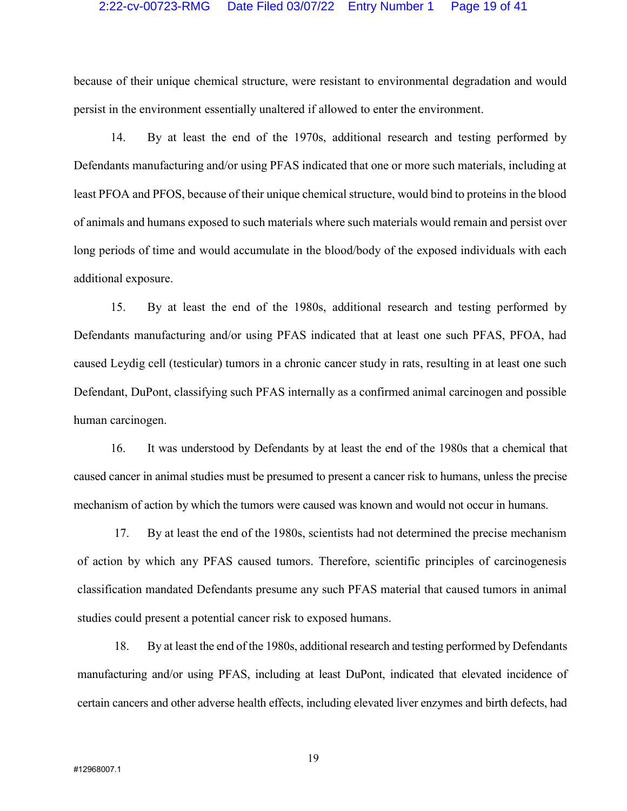#### 2:22-cv-00723-RMG Date Filed 03/07/22 Entry Number 1 Page 19 of 41

because of their unique chemical structure, were resistant to environmental degradation and would persist in the environment essentially unaltered if allowed to enter the environment.

14. By at least the end of the 1970s, additional research and testing performed by Defendants manufacturing and/or using PFAS indicated that one or more such materials, including at least PFOA and PFOS, because of their unique chemical structure, would bind to proteins in the blood of animals and humans exposed to such materials where such materials would remain and persist over long periods of time and would accumulate in the blood/body of the exposed individuals with each additional exposure.

15. By at least the end of the 1980s, additional research and testing performed by Defendants manufacturing and/or using PFAS indicated that at least one such PFAS, PFOA, had caused Leydig cell (testicular) tumors in a chronic cancer study in rats, resulting in at least one such Defendant, DuPont, classifying such PFAS internally as a confirmed animal carcinogen and possible human carcinogen.

16. It was understood by Defendants by at least the end of the 1980s that a chemical that caused cancer in animal studies must be presumed to present a cancer risk to humans, unless the precise mechanism of action by which the tumors were caused was known and would not occur in humans.

17. By at least the end of the 1980s, scientists had not determined the precise mechanism of action by which any PFAS caused tumors. Therefore, scientific principles of carcinogenesis classification mandated Defendants presume any such PFAS material that caused tumors in animal studies could present a potential cancer risk to exposed humans.

18. By at least the end of the 1980s, additional research and testing performed by Defendants manufacturing and/or using PFAS, including at least DuPont, indicated that elevated incidence of certain cancers and other adverse health effects, including elevated liver enzymes and birth defects, had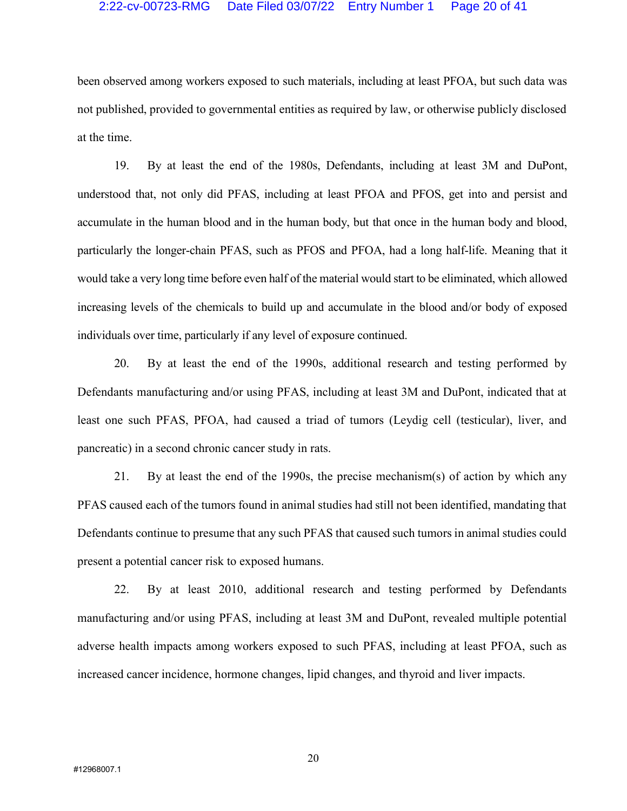### 2:22-cv-00723-RMG Date Filed 03/07/22 Entry Number 1 Page 20 of 41

been observed among workers exposed to such materials, including at least PFOA, but such data was not published, provided to governmental entities as required by law, or otherwise publicly disclosed at the time.

19. By at least the end of the 1980s, Defendants, including at least 3M and DuPont, understood that, not only did PFAS, including at least PFOA and PFOS, get into and persist and accumulate in the human blood and in the human body, but that once in the human body and blood, particularly the longer-chain PFAS, such as PFOS and PFOA, had a long half-life. Meaning that it would take a very long time before even half of the material would start to be eliminated, which allowed increasing levels of the chemicals to build up and accumulate in the blood and/or body of exposed individuals over time, particularly if any level of exposure continued.

20. By at least the end of the 1990s, additional research and testing performed by Defendants manufacturing and/or using PFAS, including at least 3M and DuPont, indicated that at least one such PFAS, PFOA, had caused a triad of tumors (Leydig cell (testicular), liver, and pancreatic) in a second chronic cancer study in rats.

21. By at least the end of the 1990s, the precise mechanism(s) of action by which any PFAS caused each of the tumors found in animal studies had still not been identified, mandating that Defendants continue to presume that any such PFAS that caused such tumors in animal studies could present a potential cancer risk to exposed humans.

22. By at least 2010, additional research and testing performed by Defendants manufacturing and/or using PFAS, including at least 3M and DuPont, revealed multiple potential adverse health impacts among workers exposed to such PFAS, including at least PFOA, such as increased cancer incidence, hormone changes, lipid changes, and thyroid and liver impacts.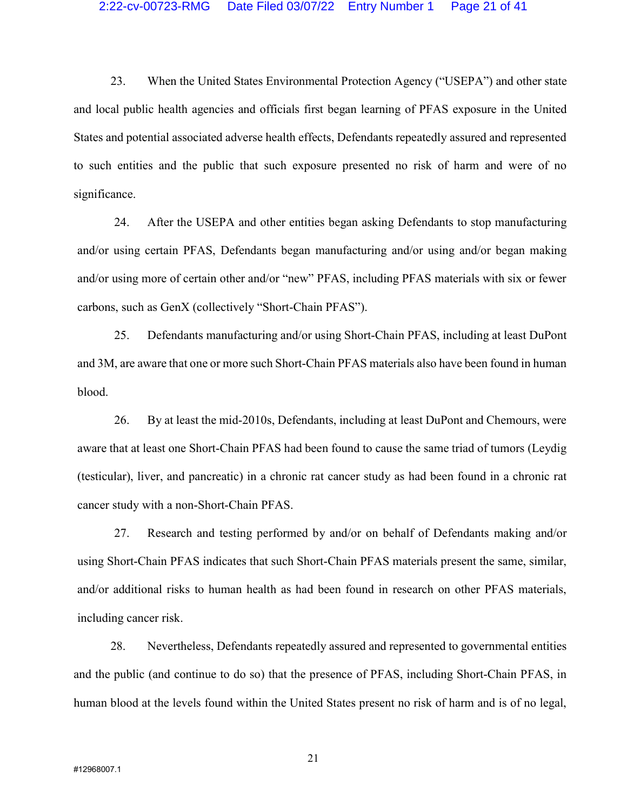23. When the United States Environmental Protection Agency ("USEPA") and other state and local public health agencies and officials first began learning of PFAS exposure in the United States and potential associated adverse health effects, Defendants repeatedly assured and represented to such entities and the public that such exposure presented no risk of harm and were of no significance.

24. After the USEPA and other entities began asking Defendants to stop manufacturing and/or using certain PFAS, Defendants began manufacturing and/or using and/or began making and/or using more of certain other and/or "new" PFAS, including PFAS materials with six or fewer carbons, such as GenX (collectively "Short-Chain PFAS").

25. Defendants manufacturing and/or using Short-Chain PFAS, including at least DuPont and 3M, are aware that one or more such Short-Chain PFAS materials also have been found in human blood.

26. By at least the mid-2010s, Defendants, including at least DuPont and Chemours, were aware that at least one Short-Chain PFAS had been found to cause the same triad of tumors (Leydig (testicular), liver, and pancreatic) in a chronic rat cancer study as had been found in a chronic rat cancer study with a non-Short-Chain PFAS.

27. Research and testing performed by and/or on behalf of Defendants making and/or using Short-Chain PFAS indicates that such Short-Chain PFAS materials present the same, similar, and/or additional risks to human health as had been found in research on other PFAS materials, including cancer risk.

28. Nevertheless, Defendants repeatedly assured and represented to governmental entities and the public (and continue to do so) that the presence of PFAS, including Short-Chain PFAS, in human blood at the levels found within the United States present no risk of harm and is of no legal,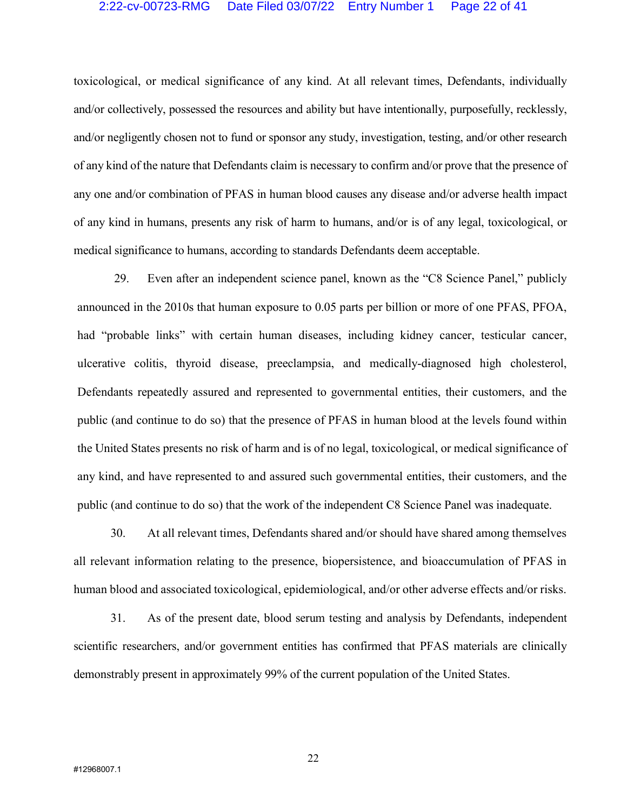### 2:22-cv-00723-RMG Date Filed 03/07/22 Entry Number 1 Page 22 of 41

toxicological, or medical significance of any kind. At all relevant times, Defendants, individually and/or collectively, possessed the resources and ability but have intentionally, purposefully, recklessly, and/or negligently chosen not to fund or sponsor any study, investigation, testing, and/or other research of any kind of the nature that Defendants claim is necessary to confirm and/or prove that the presence of any one and/or combination of PFAS in human blood causes any disease and/or adverse health impact of any kind in humans, presents any risk of harm to humans, and/or is of any legal, toxicological, or medical significance to humans, according to standards Defendants deem acceptable.

29. Even after an independent science panel, known as the "C8 Science Panel," publicly announced in the 2010s that human exposure to 0.05 parts per billion or more of one PFAS, PFOA, had "probable links" with certain human diseases, including kidney cancer, testicular cancer, ulcerative colitis, thyroid disease, preeclampsia, and medically-diagnosed high cholesterol, Defendants repeatedly assured and represented to governmental entities, their customers, and the public (and continue to do so) that the presence of PFAS in human blood at the levels found within the United States presents no risk of harm and is of no legal, toxicological, or medical significance of any kind, and have represented to and assured such governmental entities, their customers, and the public (and continue to do so) that the work of the independent C8 Science Panel was inadequate.

30. At all relevant times, Defendants shared and/or should have shared among themselves all relevant information relating to the presence, biopersistence, and bioaccumulation of PFAS in human blood and associated toxicological, epidemiological, and/or other adverse effects and/or risks.

31. As of the present date, blood serum testing and analysis by Defendants, independent scientific researchers, and/or government entities has confirmed that PFAS materials are clinically demonstrably present in approximately 99% of the current population of the United States.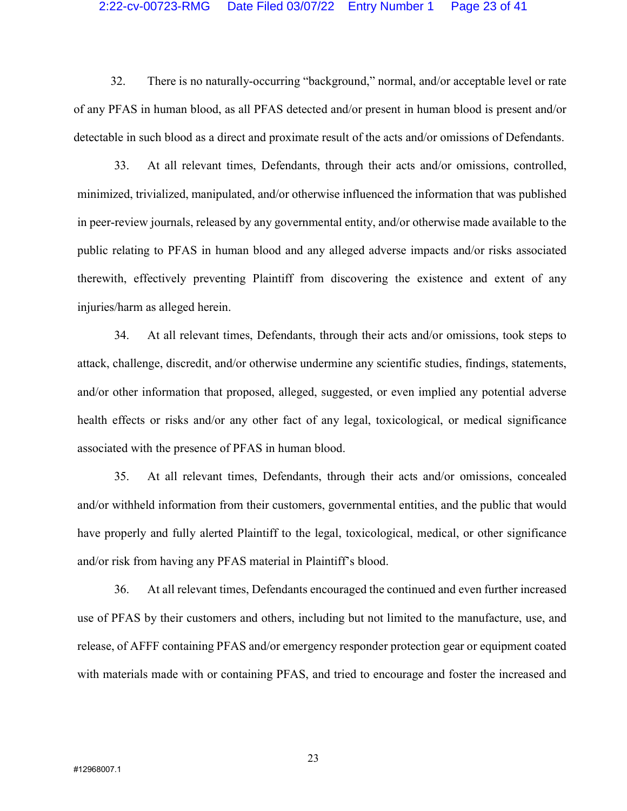#### 2:22-cv-00723-RMG Date Filed 03/07/22 Entry Number 1 Page 23 of 41

32. There is no naturally-occurring "background," normal, and/or acceptable level or rate of any PFAS in human blood, as all PFAS detected and/or present in human blood is present and/or detectable in such blood as a direct and proximate result of the acts and/or omissions of Defendants.

33. At all relevant times, Defendants, through their acts and/or omissions, controlled, minimized, trivialized, manipulated, and/or otherwise influenced the information that was published in peer-review journals, released by any governmental entity, and/or otherwise made available to the public relating to PFAS in human blood and any alleged adverse impacts and/or risks associated therewith, effectively preventing Plaintiff from discovering the existence and extent of any injuries/harm as alleged herein.

34. At all relevant times, Defendants, through their acts and/or omissions, took steps to attack, challenge, discredit, and/or otherwise undermine any scientific studies, findings, statements, and/or other information that proposed, alleged, suggested, or even implied any potential adverse health effects or risks and/or any other fact of any legal, toxicological, or medical significance associated with the presence of PFAS in human blood.

35. At all relevant times, Defendants, through their acts and/or omissions, concealed and/or withheld information from their customers, governmental entities, and the public that would have properly and fully alerted Plaintiff to the legal, toxicological, medical, or other significance and/or risk from having any PFAS material in Plaintiff's blood.

36. At all relevant times, Defendants encouraged the continued and even further increased use of PFAS by their customers and others, including but not limited to the manufacture, use, and release, of AFFF containing PFAS and/or emergency responder protection gear or equipment coated with materials made with or containing PFAS, and tried to encourage and foster the increased and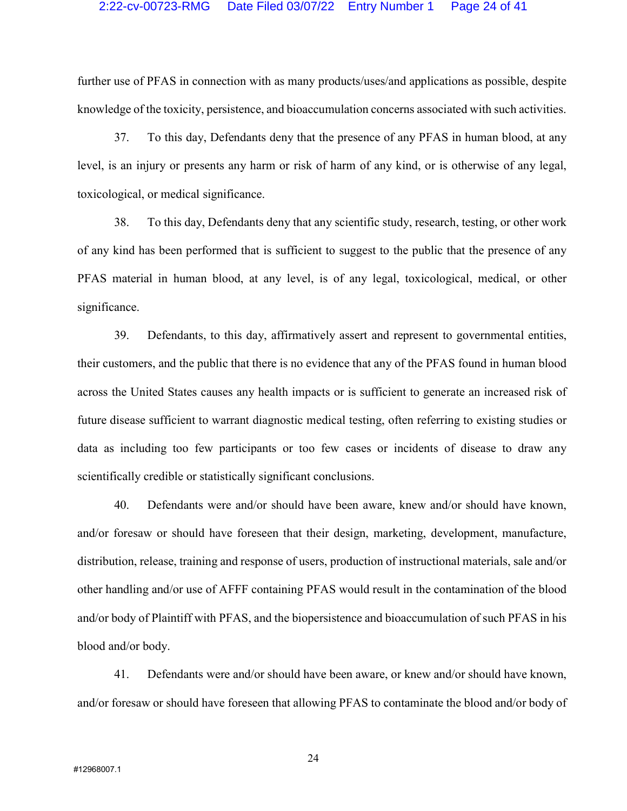#### 2:22-cv-00723-RMG Date Filed 03/07/22 Entry Number 1 Page 24 of 41

further use of PFAS in connection with as many products/uses/and applications as possible, despite knowledge of the toxicity, persistence, and bioaccumulation concerns associated with such activities.

37. To this day, Defendants deny that the presence of any PFAS in human blood, at any level, is an injury or presents any harm or risk of harm of any kind, or is otherwise of any legal, toxicological, or medical significance.

38. To this day, Defendants deny that any scientific study, research, testing, or other work of any kind has been performed that is sufficient to suggest to the public that the presence of any PFAS material in human blood, at any level, is of any legal, toxicological, medical, or other significance.

39. Defendants, to this day, affirmatively assert and represent to governmental entities, their customers, and the public that there is no evidence that any of the PFAS found in human blood across the United States causes any health impacts or is sufficient to generate an increased risk of future disease sufficient to warrant diagnostic medical testing, often referring to existing studies or data as including too few participants or too few cases or incidents of disease to draw any scientifically credible or statistically significant conclusions.

40. Defendants were and/or should have been aware, knew and/or should have known, and/or foresaw or should have foreseen that their design, marketing, development, manufacture, distribution, release, training and response of users, production of instructional materials, sale and/or other handling and/or use of AFFF containing PFAS would result in the contamination of the blood and/or body of Plaintiff with PFAS, and the biopersistence and bioaccumulation of such PFAS in his blood and/or body.

41. Defendants were and/or should have been aware, or knew and/or should have known, and/or foresaw or should have foreseen that allowing PFAS to contaminate the blood and/or body of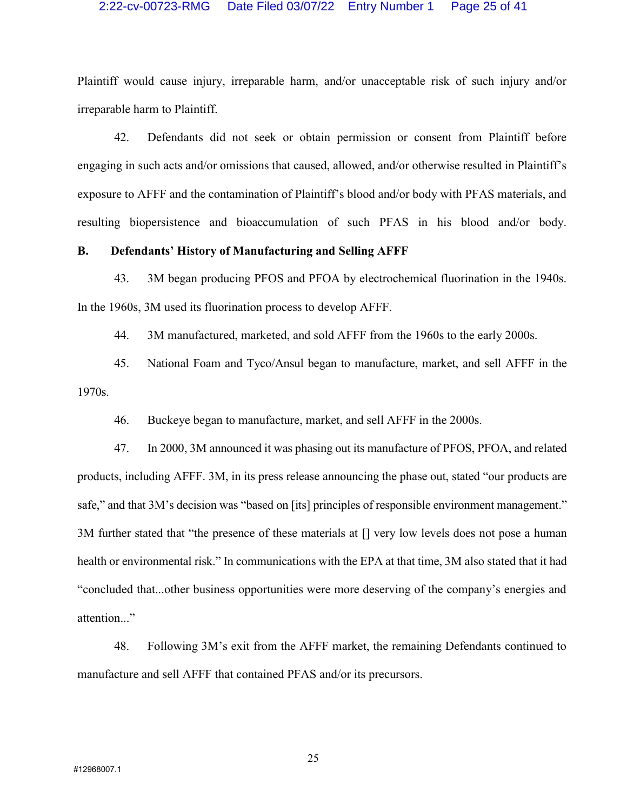#### 2:22-cv-00723-RMG Date Filed 03/07/22 Entry Number 1 Page 25 of 41

Plaintiff would cause injury, irreparable harm, and/or unacceptable risk of such injury and/or irreparable harm to Plaintiff.

42. Defendants did not seek or obtain permission or consent from Plaintiff before engaging in such acts and/or omissions that caused, allowed, and/or otherwise resulted in Plaintiff's exposure to AFFF and the contamination of Plaintiff's blood and/or body with PFAS materials, and resulting biopersistence and bioaccumulation of such PFAS in his blood and/or body.

## B. Defendants' History of Manufacturing and Selling AFFF

43. 3M began producing PFOS and PFOA by electrochemical fluorination in the 1940s. In the 1960s, 3M used its fluorination process to develop AFFF.

44. 3M manufactured, marketed, and sold AFFF from the 1960s to the early 2000s.

45. National Foam and Tyco/Ansul began to manufacture, market, and sell AFFF in the 1970s.

46. Buckeye began to manufacture, market, and sell AFFF in the 2000s.

47. In 2000, 3M announced it was phasing out its manufacture of PFOS, PFOA, and related products, including AFFF. 3M, in its press release announcing the phase out, stated "our products are safe," and that 3M's decision was "based on [its] principles of responsible environment management." 3M further stated that "the presence of these materials at [] very low levels does not pose a human health or environmental risk." In communications with the EPA at that time, 3M also stated that it had "concluded that...other business opportunities were more deserving of the company's energies and attention..."

48. Following 3M's exit from the AFFF market, the remaining Defendants continued to manufacture and sell AFFF that contained PFAS and/or its precursors.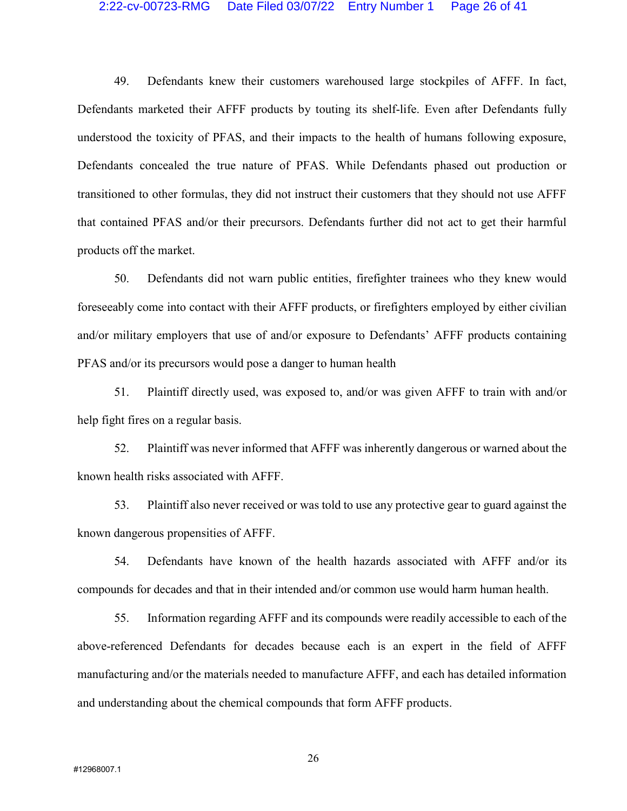#### 2:22-cv-00723-RMG Date Filed 03/07/22 Entry Number 1 Page 26 of 41

49. Defendants knew their customers warehoused large stockpiles of AFFF. In fact, Defendants marketed their AFFF products by touting its shelf-life. Even after Defendants fully understood the toxicity of PFAS, and their impacts to the health of humans following exposure, Defendants concealed the true nature of PFAS. While Defendants phased out production or transitioned to other formulas, they did not instruct their customers that they should not use AFFF that contained PFAS and/or their precursors. Defendants further did not act to get their harmful products off the market.

50. Defendants did not warn public entities, firefighter trainees who they knew would foreseeably come into contact with their AFFF products, or firefighters employed by either civilian and/or military employers that use of and/or exposure to Defendants' AFFF products containing PFAS and/or its precursors would pose a danger to human health

51. Plaintiff directly used, was exposed to, and/or was given AFFF to train with and/or help fight fires on a regular basis.

52. Plaintiff was never informed that AFFF was inherently dangerous or warned about the known health risks associated with AFFF.

53. Plaintiff also never received or was told to use any protective gear to guard against the known dangerous propensities of AFFF.

54. Defendants have known of the health hazards associated with AFFF and/or its compounds for decades and that in their intended and/or common use would harm human health.

55. Information regarding AFFF and its compounds were readily accessible to each of the above-referenced Defendants for decades because each is an expert in the field of AFFF manufacturing and/or the materials needed to manufacture AFFF, and each has detailed information and understanding about the chemical compounds that form AFFF products.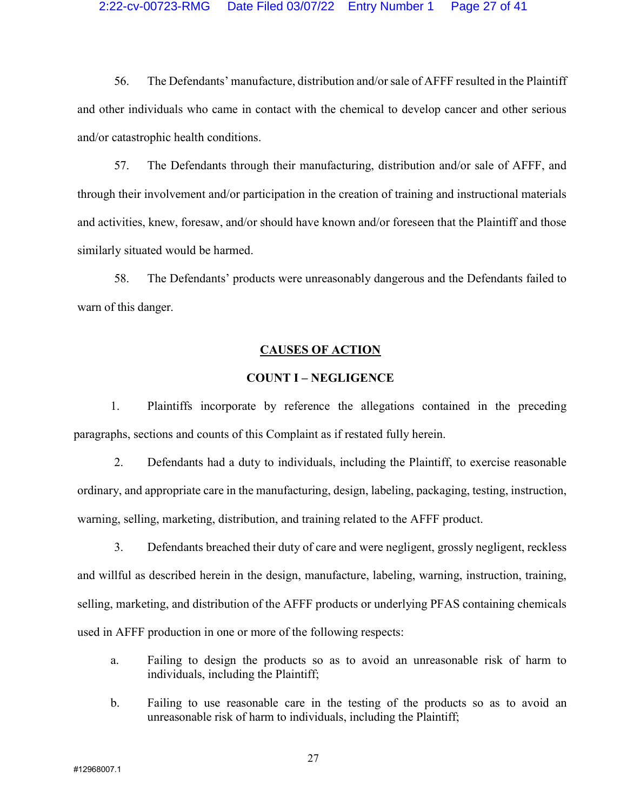#### 2:22-cv-00723-RMG Date Filed 03/07/22 Entry Number 1 Page 27 of 41

56. The Defendants' manufacture, distribution and/or sale of AFFF resulted in the Plaintiff and other individuals who came in contact with the chemical to develop cancer and other serious and/or catastrophic health conditions.

57. The Defendants through their manufacturing, distribution and/or sale of AFFF, and through their involvement and/or participation in the creation of training and instructional materials and activities, knew, foresaw, and/or should have known and/or foreseen that the Plaintiff and those similarly situated would be harmed.

58. The Defendants' products were unreasonably dangerous and the Defendants failed to warn of this danger.

## CAUSES OF ACTION

## COUNT I – NEGLIGENCE

1. Plaintiffs incorporate by reference the allegations contained in the preceding paragraphs, sections and counts of this Complaint as if restated fully herein.

2. Defendants had a duty to individuals, including the Plaintiff, to exercise reasonable ordinary, and appropriate care in the manufacturing, design, labeling, packaging, testing, instruction, warning, selling, marketing, distribution, and training related to the AFFF product.

3. Defendants breached their duty of care and were negligent, grossly negligent, reckless and willful as described herein in the design, manufacture, labeling, warning, instruction, training, selling, marketing, and distribution of the AFFF products or underlying PFAS containing chemicals used in AFFF production in one or more of the following respects:

- a. Failing to design the products so as to avoid an unreasonable risk of harm to individuals, including the Plaintiff;
- b. Failing to use reasonable care in the testing of the products so as to avoid an unreasonable risk of harm to individuals, including the Plaintiff;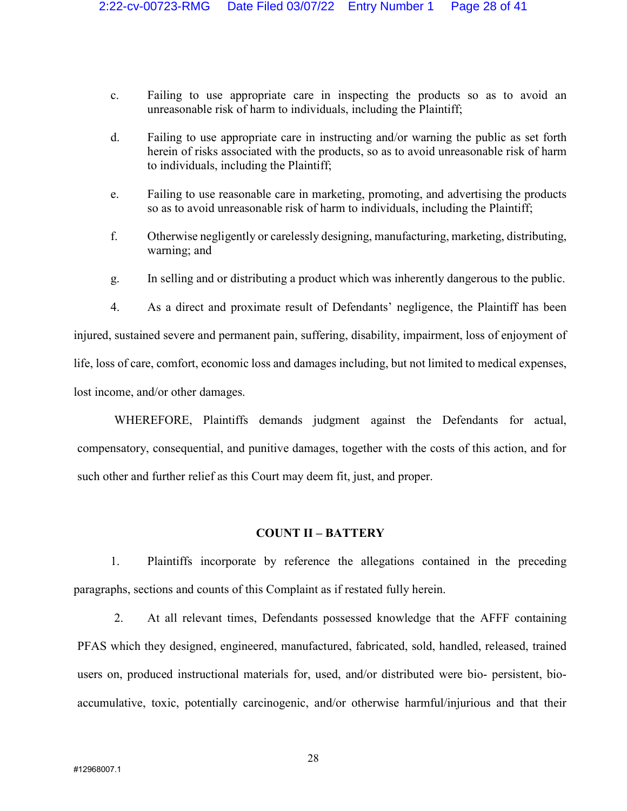- c. Failing to use appropriate care in inspecting the products so as to avoid an unreasonable risk of harm to individuals, including the Plaintiff;
- d. Failing to use appropriate care in instructing and/or warning the public as set forth herein of risks associated with the products, so as to avoid unreasonable risk of harm to individuals, including the Plaintiff;
- e. Failing to use reasonable care in marketing, promoting, and advertising the products so as to avoid unreasonable risk of harm to individuals, including the Plaintiff;
- f. Otherwise negligently or carelessly designing, manufacturing, marketing, distributing, warning; and
- g. In selling and or distributing a product which was inherently dangerous to the public.

4. As a direct and proximate result of Defendants' negligence, the Plaintiff has been injured, sustained severe and permanent pain, suffering, disability, impairment, loss of enjoyment of life, loss of care, comfort, economic loss and damages including, but not limited to medical expenses, lost income, and/or other damages.

WHEREFORE, Plaintiffs demands judgment against the Defendants for actual, compensatory, consequential, and punitive damages, together with the costs of this action, and for such other and further relief as this Court may deem fit, just, and proper.

## COUNT II – BATTERY

1. Plaintiffs incorporate by reference the allegations contained in the preceding paragraphs, sections and counts of this Complaint as if restated fully herein.

2. At all relevant times, Defendants possessed knowledge that the AFFF containing PFAS which they designed, engineered, manufactured, fabricated, sold, handled, released, trained users on, produced instructional materials for, used, and/or distributed were bio- persistent, bioaccumulative, toxic, potentially carcinogenic, and/or otherwise harmful/injurious and that their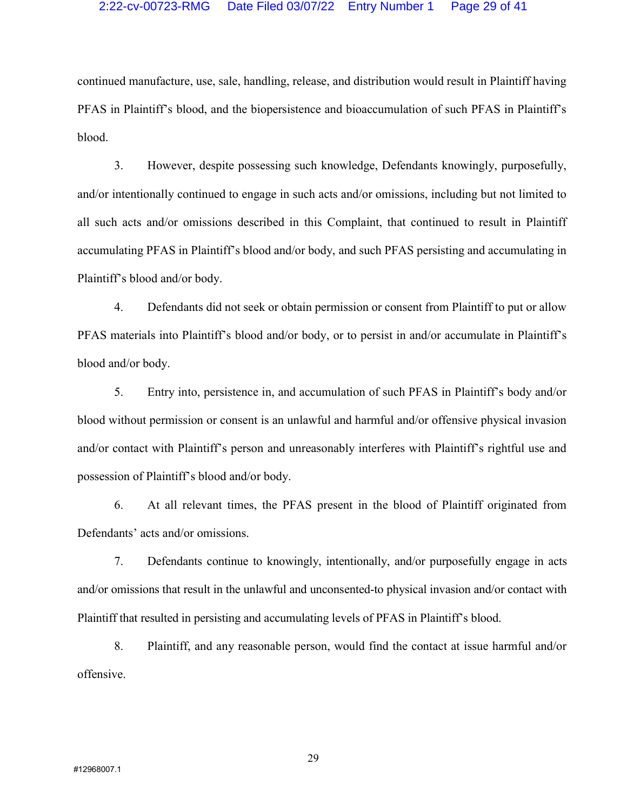### 2:22-cv-00723-RMG Date Filed 03/07/22 Entry Number 1 Page 29 of 41

continued manufacture, use, sale, handling, release, and distribution would result in Plaintiff having PFAS in Plaintiff's blood, and the biopersistence and bioaccumulation of such PFAS in Plaintiff's blood.

3. However, despite possessing such knowledge, Defendants knowingly, purposefully, and/or intentionally continued to engage in such acts and/or omissions, including but not limited to all such acts and/or omissions described in this Complaint, that continued to result in Plaintiff accumulating PFAS in Plaintiff's blood and/or body, and such PFAS persisting and accumulating in Plaintiff's blood and/or body.

4. Defendants did not seek or obtain permission or consent from Plaintiff to put or allow PFAS materials into Plaintiff's blood and/or body, or to persist in and/or accumulate in Plaintiff's blood and/or body.

5. Entry into, persistence in, and accumulation of such PFAS in Plaintiff's body and/or blood without permission or consent is an unlawful and harmful and/or offensive physical invasion and/or contact with Plaintiff's person and unreasonably interferes with Plaintiff's rightful use and possession of Plaintiff's blood and/or body.

6. At all relevant times, the PFAS present in the blood of Plaintiff originated from Defendants' acts and/or omissions.

7. Defendants continue to knowingly, intentionally, and/or purposefully engage in acts and/or omissions that result in the unlawful and unconsented-to physical invasion and/or contact with Plaintiff that resulted in persisting and accumulating levels of PFAS in Plaintiff's blood.

8. Plaintiff, and any reasonable person, would find the contact at issue harmful and/or offensive.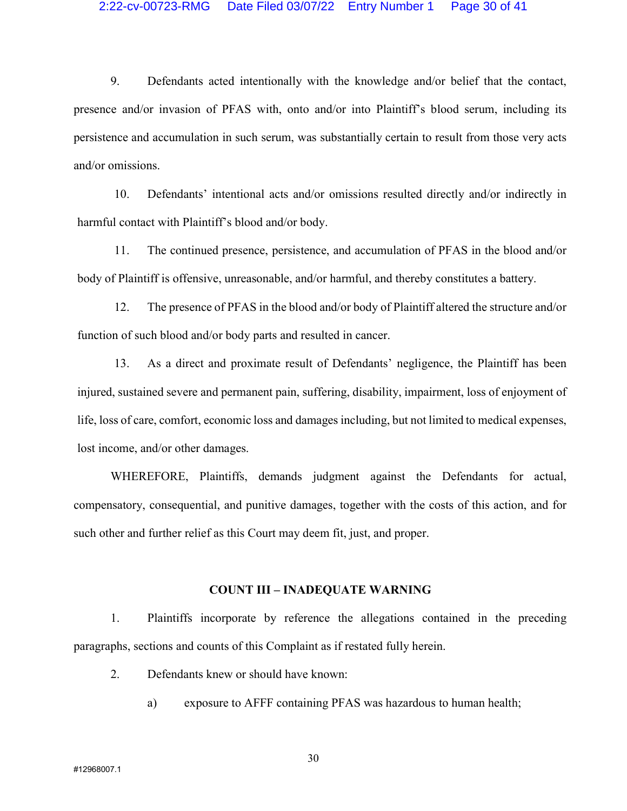### 2:22-cv-00723-RMG Date Filed 03/07/22 Entry Number 1 Page 30 of 41

9. Defendants acted intentionally with the knowledge and/or belief that the contact, presence and/or invasion of PFAS with, onto and/or into Plaintiff's blood serum, including its persistence and accumulation in such serum, was substantially certain to result from those very acts and/or omissions.

10. Defendants' intentional acts and/or omissions resulted directly and/or indirectly in harmful contact with Plaintiff's blood and/or body.

11. The continued presence, persistence, and accumulation of PFAS in the blood and/or body of Plaintiff is offensive, unreasonable, and/or harmful, and thereby constitutes a battery.

12. The presence of PFAS in the blood and/or body of Plaintiff altered the structure and/or function of such blood and/or body parts and resulted in cancer.

13. As a direct and proximate result of Defendants' negligence, the Plaintiff has been injured, sustained severe and permanent pain, suffering, disability, impairment, loss of enjoyment of life, loss of care, comfort, economic loss and damages including, but not limited to medical expenses, lost income, and/or other damages.

WHEREFORE, Plaintiffs, demands judgment against the Defendants for actual, compensatory, consequential, and punitive damages, together with the costs of this action, and for such other and further relief as this Court may deem fit, just, and proper.

#### COUNT III – INADEQUATE WARNING

1. Plaintiffs incorporate by reference the allegations contained in the preceding paragraphs, sections and counts of this Complaint as if restated fully herein.

- 2. Defendants knew or should have known:
	- a) exposure to AFFF containing PFAS was hazardous to human health;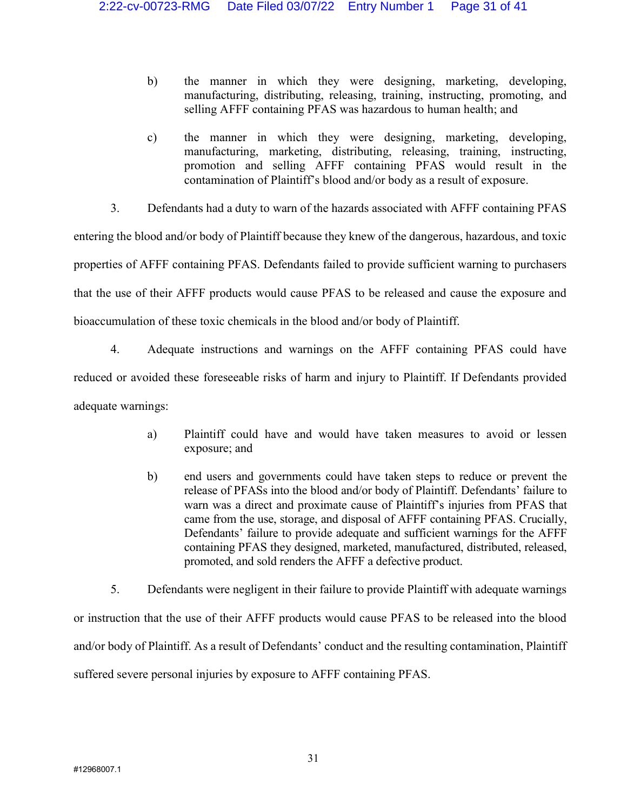- b) the manner in which they were designing, marketing, developing, manufacturing, distributing, releasing, training, instructing, promoting, and selling AFFF containing PFAS was hazardous to human health; and
- c) the manner in which they were designing, marketing, developing, manufacturing, marketing, distributing, releasing, training, instructing, promotion and selling AFFF containing PFAS would result in the contamination of Plaintiff's blood and/or body as a result of exposure.
- 3. Defendants had a duty to warn of the hazards associated with AFFF containing PFAS

entering the blood and/or body of Plaintiff because they knew of the dangerous, hazardous, and toxic properties of AFFF containing PFAS. Defendants failed to provide sufficient warning to purchasers that the use of their AFFF products would cause PFAS to be released and cause the exposure and bioaccumulation of these toxic chemicals in the blood and/or body of Plaintiff.

4. Adequate instructions and warnings on the AFFF containing PFAS could have reduced or avoided these foreseeable risks of harm and injury to Plaintiff. If Defendants provided adequate warnings:

- a) Plaintiff could have and would have taken measures to avoid or lessen exposure; and
- b) end users and governments could have taken steps to reduce or prevent the release of PFASs into the blood and/or body of Plaintiff. Defendants' failure to warn was a direct and proximate cause of Plaintiff's injuries from PFAS that came from the use, storage, and disposal of AFFF containing PFAS. Crucially, Defendants' failure to provide adequate and sufficient warnings for the AFFF containing PFAS they designed, marketed, manufactured, distributed, released, promoted, and sold renders the AFFF a defective product.

5. Defendants were negligent in their failure to provide Plaintiff with adequate warnings or instruction that the use of their AFFF products would cause PFAS to be released into the blood and/or body of Plaintiff. As a result of Defendants' conduct and the resulting contamination, Plaintiff suffered severe personal injuries by exposure to AFFF containing PFAS.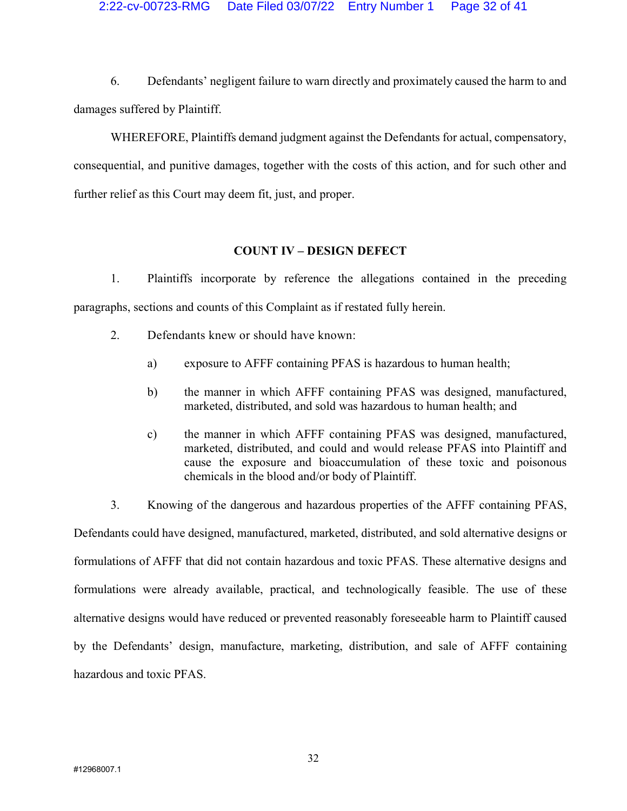6. Defendants' negligent failure to warn directly and proximately caused the harm to and damages suffered by Plaintiff.

WHEREFORE, Plaintiffs demand judgment against the Defendants for actual, compensatory, consequential, and punitive damages, together with the costs of this action, and for such other and further relief as this Court may deem fit, just, and proper.

# COUNT IV – DESIGN DEFECT

1. Plaintiffs incorporate by reference the allegations contained in the preceding paragraphs, sections and counts of this Complaint as if restated fully herein.

- 2. Defendants knew or should have known:
	- a) exposure to AFFF containing PFAS is hazardous to human health;
	- b) the manner in which AFFF containing PFAS was designed, manufactured, marketed, distributed, and sold was hazardous to human health; and
	- c) the manner in which AFFF containing PFAS was designed, manufactured, marketed, distributed, and could and would release PFAS into Plaintiff and cause the exposure and bioaccumulation of these toxic and poisonous chemicals in the blood and/or body of Plaintiff.

3. Knowing of the dangerous and hazardous properties of the AFFF containing PFAS, Defendants could have designed, manufactured, marketed, distributed, and sold alternative designs or formulations of AFFF that did not contain hazardous and toxic PFAS. These alternative designs and formulations were already available, practical, and technologically feasible. The use of these alternative designs would have reduced or prevented reasonably foreseeable harm to Plaintiff caused by the Defendants' design, manufacture, marketing, distribution, and sale of AFFF containing hazardous and toxic PFAS.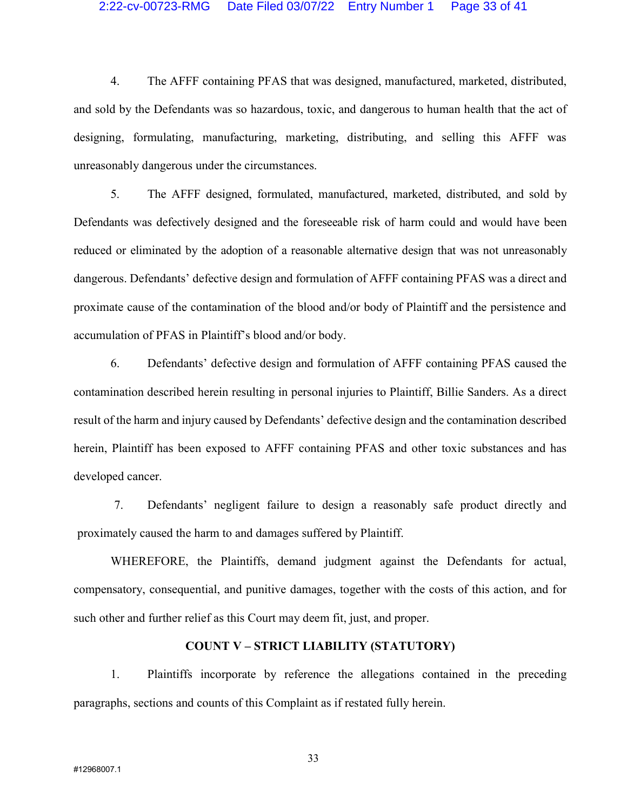#### 2:22-cv-00723-RMG Date Filed 03/07/22 Entry Number 1 Page 33 of 41

4. The AFFF containing PFAS that was designed, manufactured, marketed, distributed, and sold by the Defendants was so hazardous, toxic, and dangerous to human health that the act of designing, formulating, manufacturing, marketing, distributing, and selling this AFFF was unreasonably dangerous under the circumstances.

5. The AFFF designed, formulated, manufactured, marketed, distributed, and sold by Defendants was defectively designed and the foreseeable risk of harm could and would have been reduced or eliminated by the adoption of a reasonable alternative design that was not unreasonably dangerous. Defendants' defective design and formulation of AFFF containing PFAS was a direct and proximate cause of the contamination of the blood and/or body of Plaintiff and the persistence and accumulation of PFAS in Plaintiff's blood and/or body.

6. Defendants' defective design and formulation of AFFF containing PFAS caused the contamination described herein resulting in personal injuries to Plaintiff, Billie Sanders. As a direct result of the harm and injury caused by Defendants' defective design and the contamination described herein, Plaintiff has been exposed to AFFF containing PFAS and other toxic substances and has developed cancer.

7. Defendants' negligent failure to design a reasonably safe product directly and proximately caused the harm to and damages suffered by Plaintiff.

WHEREFORE, the Plaintiffs, demand judgment against the Defendants for actual, compensatory, consequential, and punitive damages, together with the costs of this action, and for such other and further relief as this Court may deem fit, just, and proper.

## COUNT V – STRICT LIABILITY (STATUTORY)

1. Plaintiffs incorporate by reference the allegations contained in the preceding paragraphs, sections and counts of this Complaint as if restated fully herein.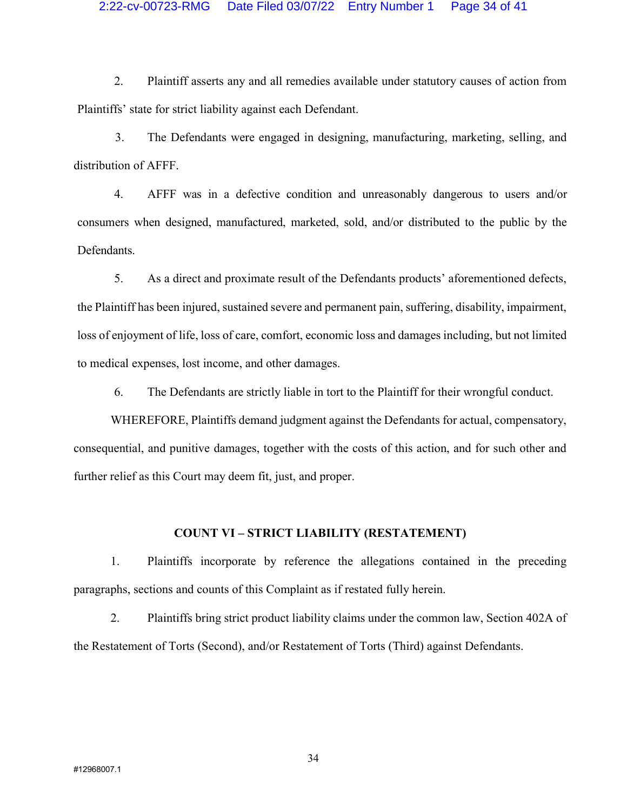### 2:22-cv-00723-RMG Date Filed 03/07/22 Entry Number 1 Page 34 of 41

2. Plaintiff asserts any and all remedies available under statutory causes of action from Plaintiffs' state for strict liability against each Defendant.

3. The Defendants were engaged in designing, manufacturing, marketing, selling, and distribution of AFFF.

4. AFFF was in a defective condition and unreasonably dangerous to users and/or consumers when designed, manufactured, marketed, sold, and/or distributed to the public by the Defendants.

5. As a direct and proximate result of the Defendants products' aforementioned defects, the Plaintiff has been injured, sustained severe and permanent pain, suffering, disability, impairment, loss of enjoyment of life, loss of care, comfort, economic loss and damages including, but not limited to medical expenses, lost income, and other damages.

6. The Defendants are strictly liable in tort to the Plaintiff for their wrongful conduct.

WHEREFORE, Plaintiffs demand judgment against the Defendants for actual, compensatory, consequential, and punitive damages, together with the costs of this action, and for such other and further relief as this Court may deem fit, just, and proper.

## COUNT VI – STRICT LIABILITY (RESTATEMENT)

1. Plaintiffs incorporate by reference the allegations contained in the preceding paragraphs, sections and counts of this Complaint as if restated fully herein.

2. Plaintiffs bring strict product liability claims under the common law, Section 402A of the Restatement of Torts (Second), and/or Restatement of Torts (Third) against Defendants.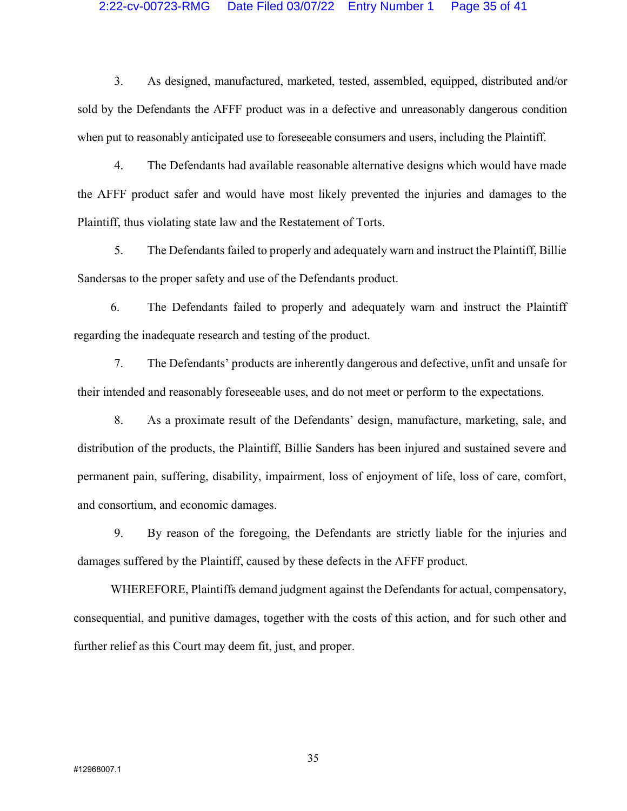#### 2:22-cv-00723-RMG Date Filed 03/07/22 Entry Number 1 Page 35 of 41

3. As designed, manufactured, marketed, tested, assembled, equipped, distributed and/or sold by the Defendants the AFFF product was in a defective and unreasonably dangerous condition when put to reasonably anticipated use to foreseeable consumers and users, including the Plaintiff.

4. The Defendants had available reasonable alternative designs which would have made the AFFF product safer and would have most likely prevented the injuries and damages to the Plaintiff, thus violating state law and the Restatement of Torts.

5. The Defendants failed to properly and adequately warn and instruct the Plaintiff, Billie Sandersas to the proper safety and use of the Defendants product.

6. The Defendants failed to properly and adequately warn and instruct the Plaintiff regarding the inadequate research and testing of the product.

7. The Defendants' products are inherently dangerous and defective, unfit and unsafe for their intended and reasonably foreseeable uses, and do not meet or perform to the expectations.

8. As a proximate result of the Defendants' design, manufacture, marketing, sale, and distribution of the products, the Plaintiff, Billie Sanders has been injured and sustained severe and permanent pain, suffering, disability, impairment, loss of enjoyment of life, loss of care, comfort, and consortium, and economic damages.

9. By reason of the foregoing, the Defendants are strictly liable for the injuries and damages suffered by the Plaintiff, caused by these defects in the AFFF product.

 WHEREFORE, Plaintiffs demand judgment against the Defendants for actual, compensatory, consequential, and punitive damages, together with the costs of this action, and for such other and further relief as this Court may deem fit, just, and proper.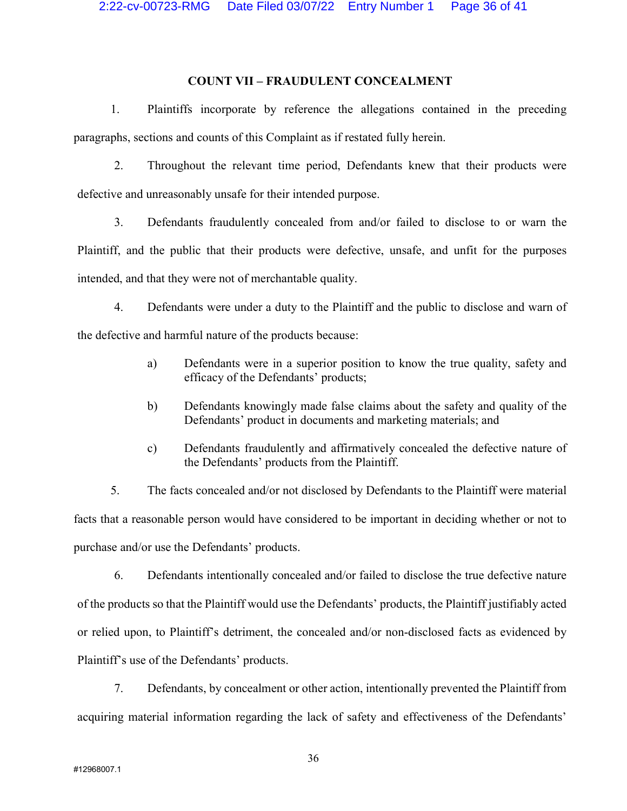## COUNT VII – FRAUDULENT CONCEALMENT

1. Plaintiffs incorporate by reference the allegations contained in the preceding paragraphs, sections and counts of this Complaint as if restated fully herein.

2. Throughout the relevant time period, Defendants knew that their products were defective and unreasonably unsafe for their intended purpose.

3. Defendants fraudulently concealed from and/or failed to disclose to or warn the Plaintiff, and the public that their products were defective, unsafe, and unfit for the purposes intended, and that they were not of merchantable quality.

4. Defendants were under a duty to the Plaintiff and the public to disclose and warn of the defective and harmful nature of the products because:

- a) Defendants were in a superior position to know the true quality, safety and efficacy of the Defendants' products;
- b) Defendants knowingly made false claims about the safety and quality of the Defendants' product in documents and marketing materials; and
- c) Defendants fraudulently and affirmatively concealed the defective nature of the Defendants' products from the Plaintiff.

5. The facts concealed and/or not disclosed by Defendants to the Plaintiff were material facts that a reasonable person would have considered to be important in deciding whether or not to purchase and/or use the Defendants' products.

6. Defendants intentionally concealed and/or failed to disclose the true defective nature of the products so that the Plaintiff would use the Defendants' products, the Plaintiff justifiably acted or relied upon, to Plaintiff's detriment, the concealed and/or non-disclosed facts as evidenced by Plaintiff's use of the Defendants' products.

7. Defendants, by concealment or other action, intentionally prevented the Plaintiff from acquiring material information regarding the lack of safety and effectiveness of the Defendants'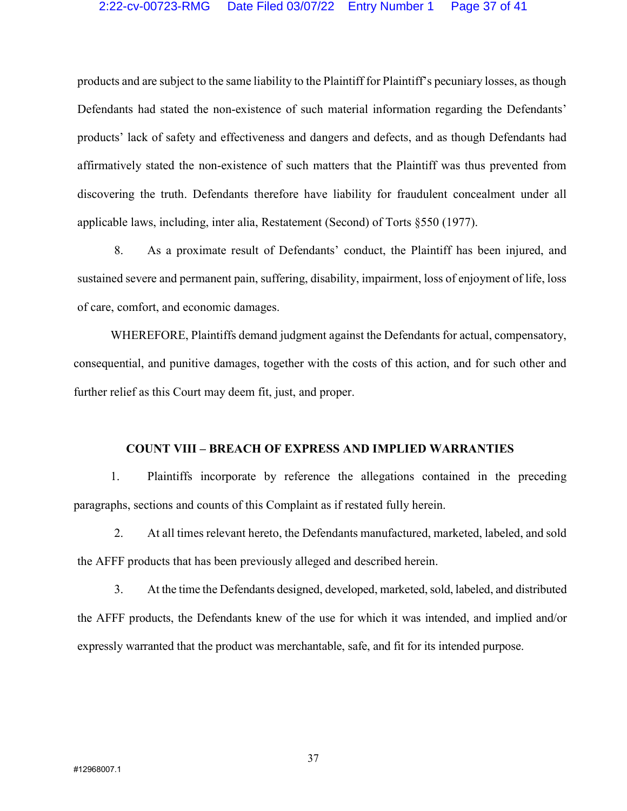### 2:22-cv-00723-RMG Date Filed 03/07/22 Entry Number 1 Page 37 of 41

products and are subject to the same liability to the Plaintiff for Plaintiff's pecuniary losses, as though Defendants had stated the non-existence of such material information regarding the Defendants' products' lack of safety and effectiveness and dangers and defects, and as though Defendants had affirmatively stated the non-existence of such matters that the Plaintiff was thus prevented from discovering the truth. Defendants therefore have liability for fraudulent concealment under all applicable laws, including, inter alia, Restatement (Second) of Torts §550 (1977).

8. As a proximate result of Defendants' conduct, the Plaintiff has been injured, and sustained severe and permanent pain, suffering, disability, impairment, loss of enjoyment of life, loss of care, comfort, and economic damages.

WHEREFORE, Plaintiffs demand judgment against the Defendants for actual, compensatory, consequential, and punitive damages, together with the costs of this action, and for such other and further relief as this Court may deem fit, just, and proper.

#### COUNT VIII – BREACH OF EXPRESS AND IMPLIED WARRANTIES

1. Plaintiffs incorporate by reference the allegations contained in the preceding paragraphs, sections and counts of this Complaint as if restated fully herein.

2. At all times relevant hereto, the Defendants manufactured, marketed, labeled, and sold the AFFF products that has been previously alleged and described herein.

3. At the time the Defendants designed, developed, marketed, sold, labeled, and distributed the AFFF products, the Defendants knew of the use for which it was intended, and implied and/or expressly warranted that the product was merchantable, safe, and fit for its intended purpose.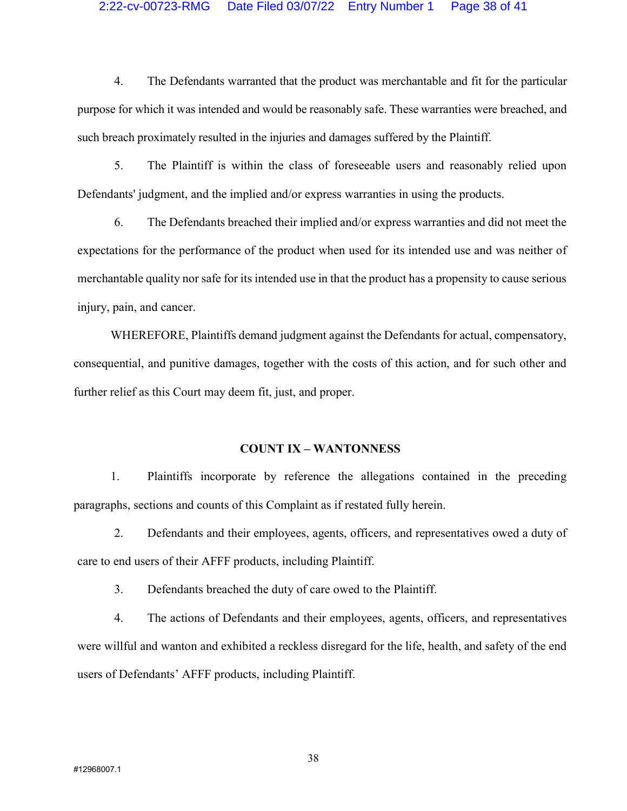#### 2:22-cv-00723-RMG Date Filed 03/07/22 Entry Number 1 Page 38 of 41

4. The Defendants warranted that the product was merchantable and fit for the particular purpose for which it was intended and would be reasonably safe. These warranties were breached, and such breach proximately resulted in the injuries and damages suffered by the Plaintiff.

5. The Plaintiff is within the class of foreseeable users and reasonably relied upon Defendants' judgment, and the implied and/or express warranties in using the products.

6. The Defendants breached their implied and/or express warranties and did not meet the expectations for the performance of the product when used for its intended use and was neither of merchantable quality nor safe for its intended use in that the product has a propensity to cause serious injury, pain, and cancer.

WHEREFORE, Plaintiffs demand judgment against the Defendants for actual, compensatory, consequential, and punitive damages, together with the costs of this action, and for such other and further relief as this Court may deem fit, just, and proper.

#### COUNT IX – WANTONNESS

1. Plaintiffs incorporate by reference the allegations contained in the preceding paragraphs, sections and counts of this Complaint as if restated fully herein.

2. Defendants and their employees, agents, officers, and representatives owed a duty of care to end users of their AFFF products, including Plaintiff.

3. Defendants breached the duty of care owed to the Plaintiff.

4. The actions of Defendants and their employees, agents, officers, and representatives were willful and wanton and exhibited a reckless disregard for the life, health, and safety of the end users of Defendants' AFFF products, including Plaintiff.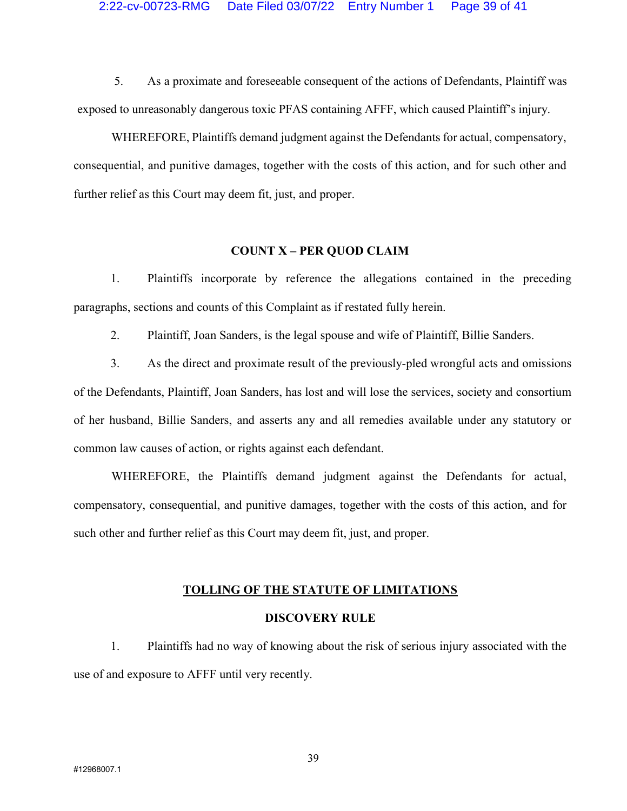5. As a proximate and foreseeable consequent of the actions of Defendants, Plaintiff was exposed to unreasonably dangerous toxic PFAS containing AFFF, which caused Plaintiff's injury.

WHEREFORE, Plaintiffs demand judgment against the Defendants for actual, compensatory, consequential, and punitive damages, together with the costs of this action, and for such other and further relief as this Court may deem fit, just, and proper.

## COUNT X – PER QUOD CLAIM

1. Plaintiffs incorporate by reference the allegations contained in the preceding paragraphs, sections and counts of this Complaint as if restated fully herein.

2. Plaintiff, Joan Sanders, is the legal spouse and wife of Plaintiff, Billie Sanders.

 3. As the direct and proximate result of the previously-pled wrongful acts and omissions of the Defendants, Plaintiff, Joan Sanders, has lost and will lose the services, society and consortium of her husband, Billie Sanders, and asserts any and all remedies available under any statutory or common law causes of action, or rights against each defendant.

WHEREFORE, the Plaintiffs demand judgment against the Defendants for actual, compensatory, consequential, and punitive damages, together with the costs of this action, and for such other and further relief as this Court may deem fit, just, and proper.

#### TOLLING OF THE STATUTE OF LIMITATIONS

#### DISCOVERY RULE

1. Plaintiffs had no way of knowing about the risk of serious injury associated with the use of and exposure to AFFF until very recently.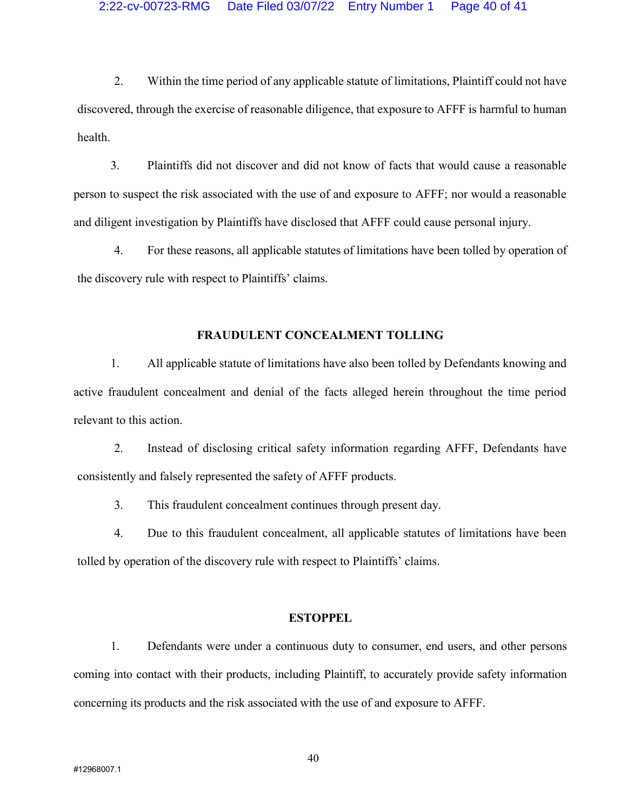2. Within the time period of any applicable statute of limitations, Plaintiff could not have discovered, through the exercise of reasonable diligence, that exposure to AFFF is harmful to human health.

3. Plaintiffs did not discover and did not know of facts that would cause a reasonable person to suspect the risk associated with the use of and exposure to AFFF; nor would a reasonable and diligent investigation by Plaintiffs have disclosed that AFFF could cause personal injury.

4. For these reasons, all applicable statutes of limitations have been tolled by operation of the discovery rule with respect to Plaintiffs' claims.

## FRAUDULENT CONCEALMENT TOLLING

1. All applicable statute of limitations have also been tolled by Defendants knowing and active fraudulent concealment and denial of the facts alleged herein throughout the time period relevant to this action.

2. Instead of disclosing critical safety information regarding AFFF, Defendants have consistently and falsely represented the safety of AFFF products.

3. This fraudulent concealment continues through present day.

4. Due to this fraudulent concealment, all applicable statutes of limitations have been tolled by operation of the discovery rule with respect to Plaintiffs' claims.

#### **ESTOPPEL**

1. Defendants were under a continuous duty to consumer, end users, and other persons coming into contact with their products, including Plaintiff, to accurately provide safety information concerning its products and the risk associated with the use of and exposure to AFFF.